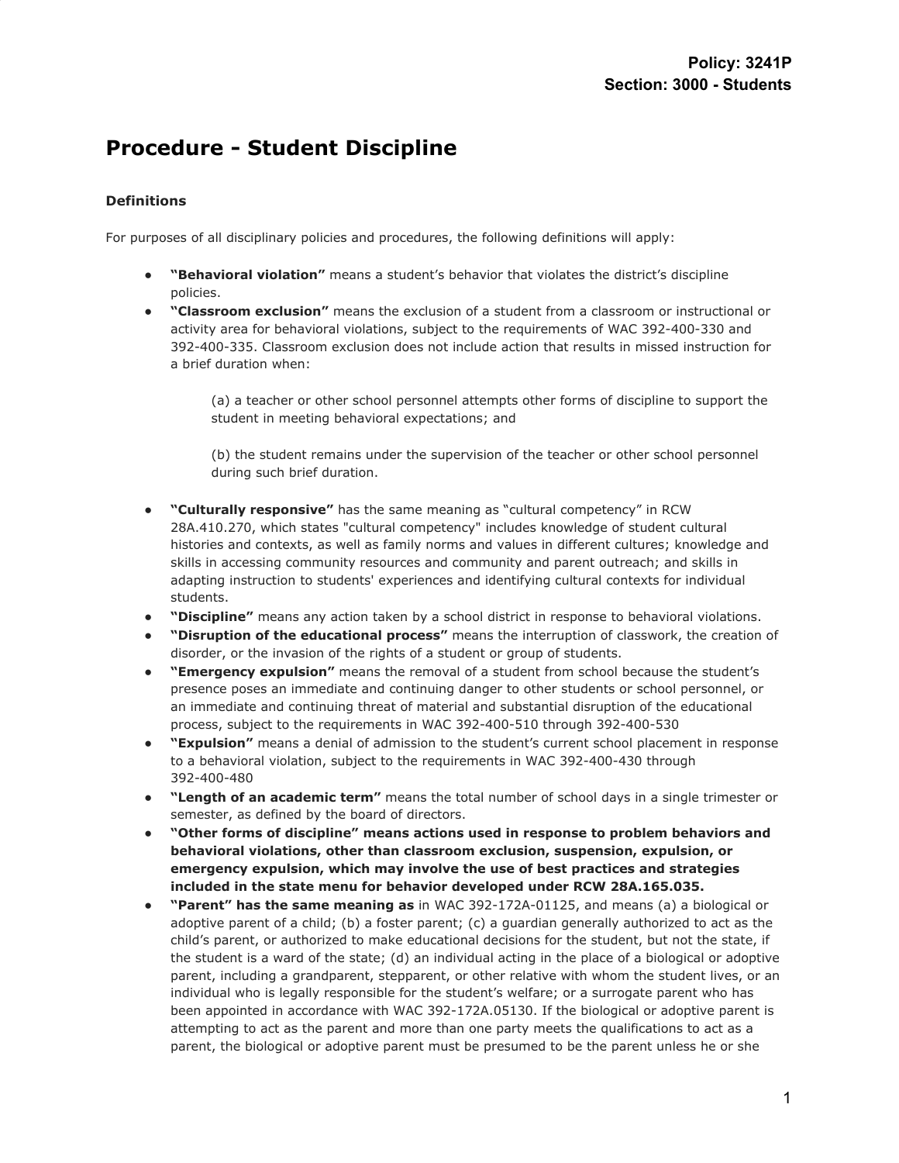# **Procedure - Student Discipline**

# **Definitions**

For purposes of all disciplinary policies and procedures, the following definitions will apply:

- "Behavioral violation" means a student's behavior that violates the district's discipline policies.
- **"Classroom exclusion"** means the exclusion of a student from a classroom or instructional or activity area for behavioral violations, subject to the requirements of WAC 392-400-330 and 392-400-335. Classroom exclusion does not include action that results in missed instruction for a brief duration when:

(a) a teacher or other school personnel attempts other forms of discipline to support the student in meeting behavioral expectations; and

(b) the student remains under the supervision of the teacher or other school personnel during such brief duration.

- "Culturally responsive" has the same meaning as "cultural competency" in RCW 28A.410.270, which states "cultural competency" includes knowledge of student cultural histories and contexts, as well as family norms and values in different cultures; knowledge and skills in accessing community resources and community and parent outreach; and skills in adapting instruction to students' experiences and identifying cultural contexts for individual students.
- "Discipline" means any action taken by a school district in response to behavioral violations.
- **"Disruption of the educational process"** means the interruption of classwork, the creation of disorder, or the invasion of the rights of a student or group of students.
- "**Emergency expulsion"** means the removal of a student from school because the student's presence poses an immediate and continuing danger to other students or school personnel, or an immediate and continuing threat of material and substantial disruption of the educational process, subject to the requirements in WAC 392-400-510 through 392-400-530
- "**Expulsion"** means a denial of admission to the student's current school placement in response to a behavioral violation, subject to the requirements in WAC 392-400-430 through 392-400-480
- **"Length of an academic term"** means the total number of school days in a single trimester or semester, as defined by the board of directors.
- **"Other forms of discipline" means actions used in response to problem behaviors and behavioral violations, other than classroom exclusion, suspension, expulsion, or emergency expulsion, which may involve the use of best practices and strategies included in the state menu for behavior developed under RCW 28A.165.035.**
- **"Parent" has the same meaning as** in WAC 392-172A-01125, and means (a) a biological or adoptive parent of a child; (b) a foster parent; (c) a guardian generally authorized to act as the child's parent, or authorized to make educational decisions for the student, but not the state, if the student is a ward of the state; (d) an individual acting in the place of a biological or adoptive parent, including a grandparent, stepparent, or other relative with whom the student lives, or an individual who is legally responsible for the student's welfare; or a surrogate parent who has been appointed in accordance with WAC 392-172A.05130. If the biological or adoptive parent is attempting to act as the parent and more than one party meets the qualifications to act as a parent, the biological or adoptive parent must be presumed to be the parent unless he or she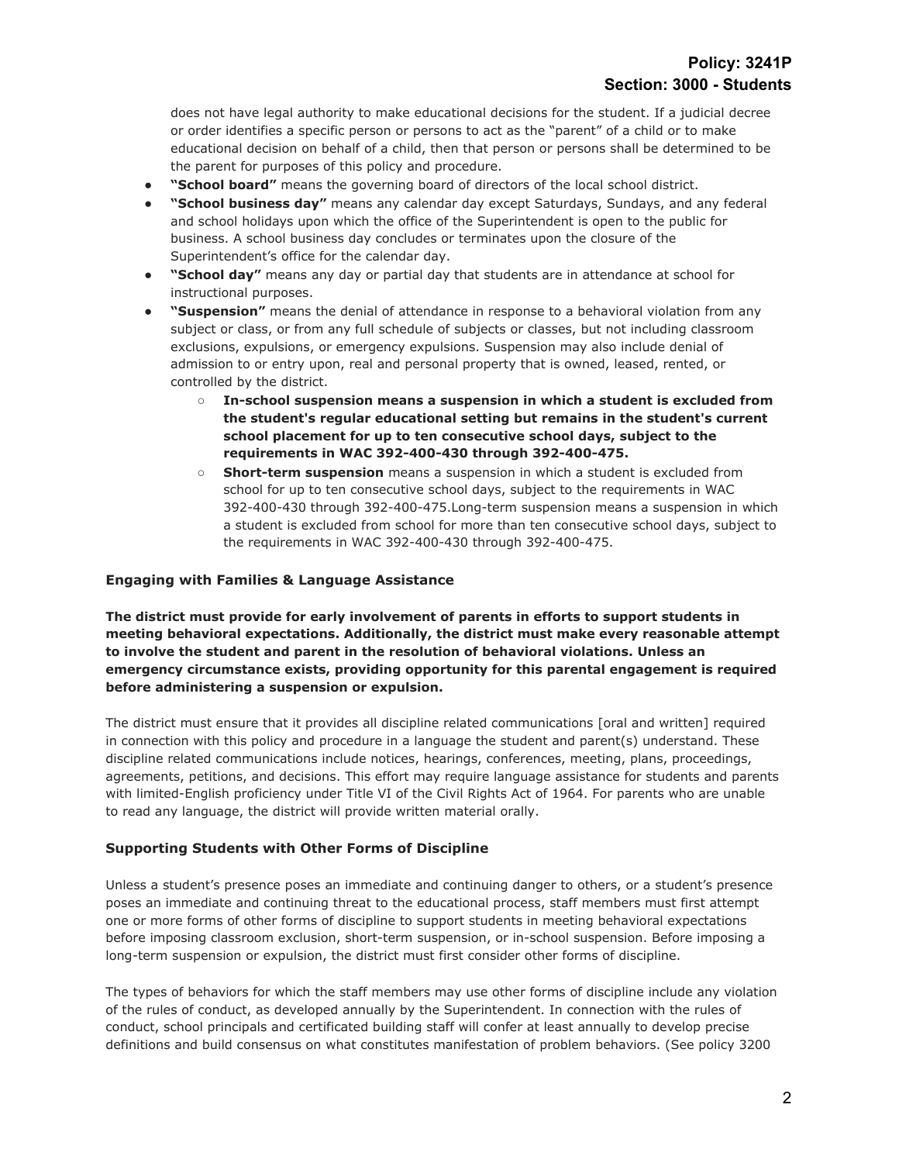does not have legal authority to make educational decisions for the student. If a judicial decree or order identifies a specific person or persons to act as the "parent" of a child or to make educational decision on behalf of a child, then that person or persons shall be determined to be the parent for purposes of this policy and procedure.

- "School board" means the governing board of directors of the local school district.
- **"School business day"** means any calendar day except Saturdays, Sundays, and any federal and school holidays upon which the office of the Superintendent is open to the public for business. A school business day concludes or terminates upon the closure of the Superintendent's office for the calendar day.
- "School day" means any day or partial day that students are in attendance at school for instructional purposes.
- "Suspension" means the denial of attendance in response to a behavioral violation from any subject or class, or from any full schedule of subjects or classes, but not including classroom exclusions, expulsions, or emergency expulsions. Suspension may also include denial of admission to or entry upon, real and personal property that is owned, leased, rented, or controlled by the district.
	- **○ In-school suspension means a suspension in which a student is excluded from the student's regular educational setting but remains in the student's current school placement for up to ten consecutive school days, subject to the requirements in WAC 392-400-430 through 392-400-475.**
	- **Short-term suspension** means a suspension in which a student is excluded from school for up to ten consecutive school days, subject to the requirements in WAC 392-400-430 through 392-400-475.Long-term suspension means a suspension in which a student is excluded from school for more than ten consecutive school days, subject to the requirements in WAC 392-400-430 through 392-400-475.

## **Engaging with Families & Language Assistance**

**The district must provide for early involvement of parents in efforts to support students in meeting behavioral expectations. Additionally, the district must make every reasonable attempt to involve the student and parent in the resolution of behavioral violations. Unless an emergency circumstance exists, providing opportunity for this parental engagement is required before administering a suspension or expulsion.**

The district must ensure that it provides all discipline related communications [oral and written] required in connection with this policy and procedure in a language the student and parent(s) understand. These discipline related communications include notices, hearings, conferences, meeting, plans, proceedings, agreements, petitions, and decisions. This effort may require language assistance for students and parents with limited-English proficiency under Title VI of the Civil Rights Act of 1964. For parents who are unable to read any language, the district will provide written material orally.

# **Supporting Students with Other Forms of Discipline**

Unless a student's presence poses an immediate and continuing danger to others, or a student's presence poses an immediate and continuing threat to the educational process, staff members must first attempt one or more forms of other forms of discipline to support students in meeting behavioral expectations before imposing classroom exclusion, short-term suspension, or in-school suspension. Before imposing a long-term suspension or expulsion, the district must first consider other forms of discipline.

The types of behaviors for which the staff members may use other forms of discipline include any violation of the rules of conduct, as developed annually by the Superintendent. In connection with the rules of conduct, school principals and certificated building staff will confer at least annually to develop precise definitions and build consensus on what constitutes manifestation of problem behaviors. (See policy 3200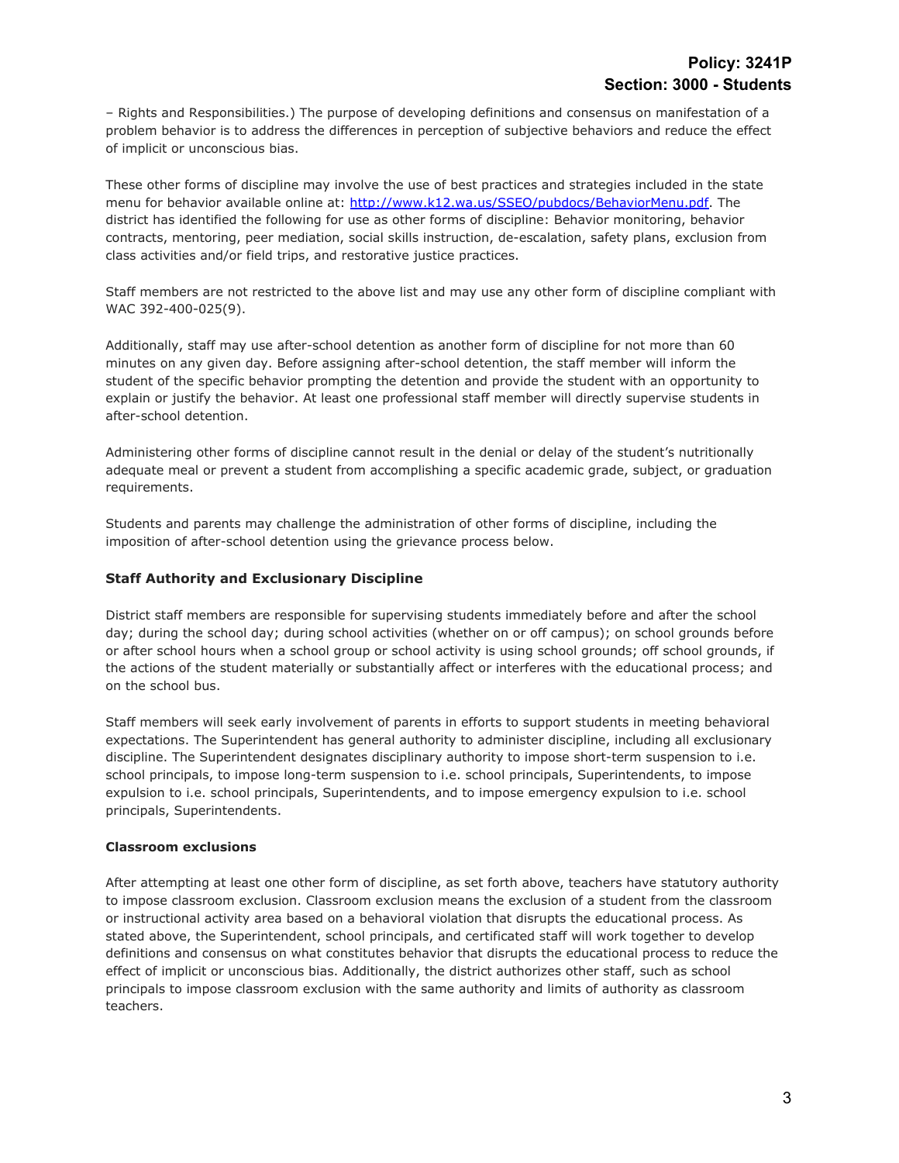– Rights and Responsibilities.) The purpose of developing definitions and consensus on manifestation of a problem behavior is to address the differences in perception of subjective behaviors and reduce the effect of implicit or unconscious bias.

These other forms of discipline may involve the use of best practices and strategies included in the state menu for behavior available online at: [http://www.k12.wa.us/SSEO/pubdocs/BehaviorMenu.pdf.](http://www.k12.wa.us/SSEO/pubdocs/BehaviorMenu.pdf) The district has identified the following for use as other forms of discipline: Behavior monitoring, behavior contracts, mentoring, peer mediation, social skills instruction, de-escalation, safety plans, exclusion from class activities and/or field trips, and restorative justice practices.

Staff members are not restricted to the above list and may use any other form of discipline compliant with WAC 392-400-025(9).

Additionally, staff may use after-school detention as another form of discipline for not more than 60 minutes on any given day. Before assigning after-school detention, the staff member will inform the student of the specific behavior prompting the detention and provide the student with an opportunity to explain or justify the behavior. At least one professional staff member will directly supervise students in after-school detention.

Administering other forms of discipline cannot result in the denial or delay of the student's nutritionally adequate meal or prevent a student from accomplishing a specific academic grade, subject, or graduation requirements.

Students and parents may challenge the administration of other forms of discipline, including the imposition of after-school detention using the grievance process below.

## **Staff Authority and Exclusionary Discipline**

District staff members are responsible for supervising students immediately before and after the school day; during the school day; during school activities (whether on or off campus); on school grounds before or after school hours when a school group or school activity is using school grounds; off school grounds, if the actions of the student materially or substantially affect or interferes with the educational process; and on the school bus.

Staff members will seek early involvement of parents in efforts to support students in meeting behavioral expectations. The Superintendent has general authority to administer discipline, including all exclusionary discipline. The Superintendent designates disciplinary authority to impose short-term suspension to i.e. school principals, to impose long-term suspension to i.e. school principals, Superintendents, to impose expulsion to i.e. school principals, Superintendents, and to impose emergency expulsion to i.e. school principals, Superintendents.

## **Classroom exclusions**

After attempting at least one other form of discipline, as set forth above, teachers have statutory authority to impose classroom exclusion. Classroom exclusion means the exclusion of a student from the classroom or instructional activity area based on a behavioral violation that disrupts the educational process. As stated above, the Superintendent, school principals, and certificated staff will work together to develop definitions and consensus on what constitutes behavior that disrupts the educational process to reduce the effect of implicit or unconscious bias. Additionally, the district authorizes other staff, such as school principals to impose classroom exclusion with the same authority and limits of authority as classroom teachers.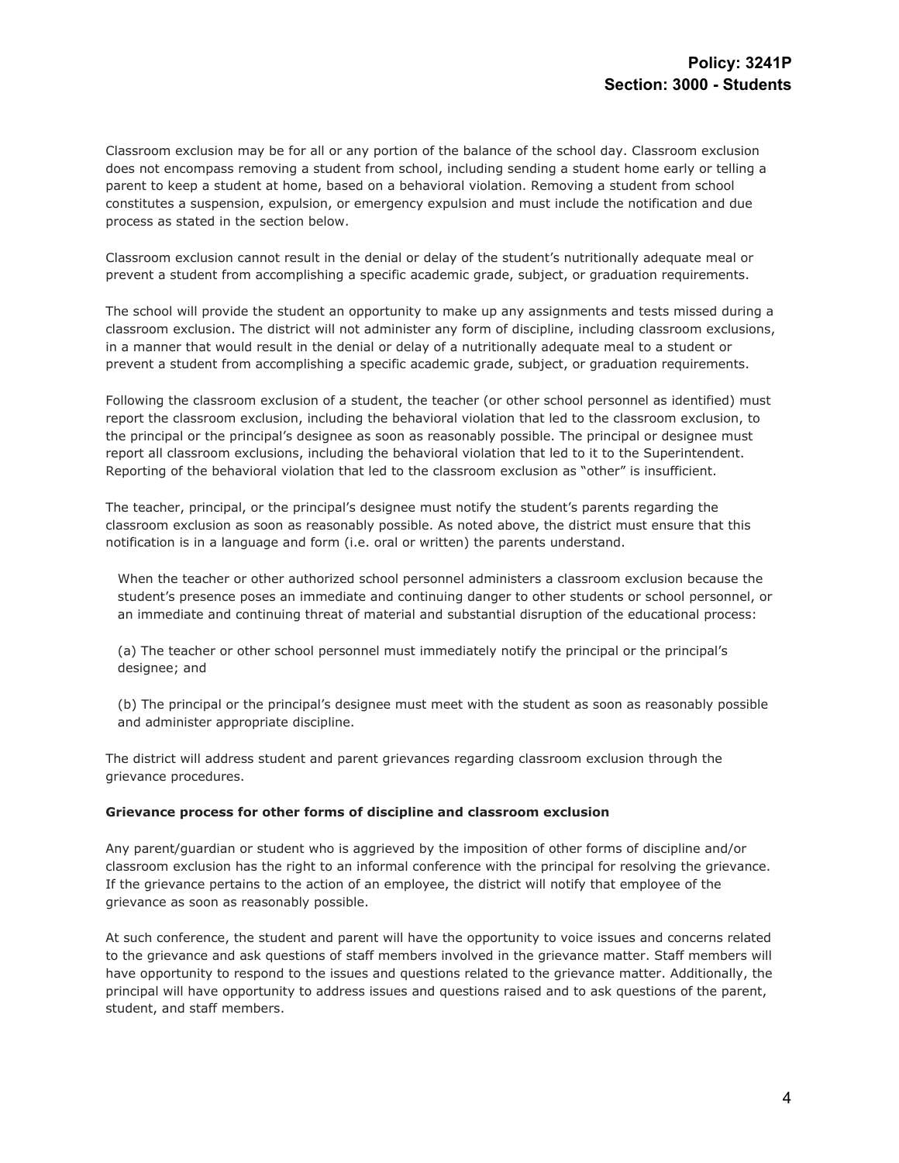Classroom exclusion may be for all or any portion of the balance of the school day. Classroom exclusion does not encompass removing a student from school, including sending a student home early or telling a parent to keep a student at home, based on a behavioral violation. Removing a student from school constitutes a suspension, expulsion, or emergency expulsion and must include the notification and due process as stated in the section below.

Classroom exclusion cannot result in the denial or delay of the student's nutritionally adequate meal or prevent a student from accomplishing a specific academic grade, subject, or graduation requirements.

The school will provide the student an opportunity to make up any assignments and tests missed during a classroom exclusion. The district will not administer any form of discipline, including classroom exclusions, in a manner that would result in the denial or delay of a nutritionally adequate meal to a student or prevent a student from accomplishing a specific academic grade, subject, or graduation requirements.

Following the classroom exclusion of a student, the teacher (or other school personnel as identified) must report the classroom exclusion, including the behavioral violation that led to the classroom exclusion, to the principal or the principal's designee as soon as reasonably possible. The principal or designee must report all classroom exclusions, including the behavioral violation that led to it to the Superintendent. Reporting of the behavioral violation that led to the classroom exclusion as "other" is insufficient.

The teacher, principal, or the principal's designee must notify the student's parents regarding the classroom exclusion as soon as reasonably possible. As noted above, the district must ensure that this notification is in a language and form (i.e. oral or written) the parents understand.

When the teacher or other authorized school personnel administers a classroom exclusion because the student's presence poses an immediate and continuing danger to other students or school personnel, or an immediate and continuing threat of material and substantial disruption of the educational process:

(a) The teacher or other school personnel must immediately notify the principal or the principal's designee; and

(b) The principal or the principal's designee must meet with the student as soon as reasonably possible and administer appropriate discipline.

The district will address student and parent grievances regarding classroom exclusion through the grievance procedures.

#### **Grievance process for other forms of discipline and classroom exclusion**

Any parent/guardian or student who is aggrieved by the imposition of other forms of discipline and/or classroom exclusion has the right to an informal conference with the principal for resolving the grievance. If the grievance pertains to the action of an employee, the district will notify that employee of the grievance as soon as reasonably possible.

At such conference, the student and parent will have the opportunity to voice issues and concerns related to the grievance and ask questions of staff members involved in the grievance matter. Staff members will have opportunity to respond to the issues and questions related to the grievance matter. Additionally, the principal will have opportunity to address issues and questions raised and to ask questions of the parent, student, and staff members.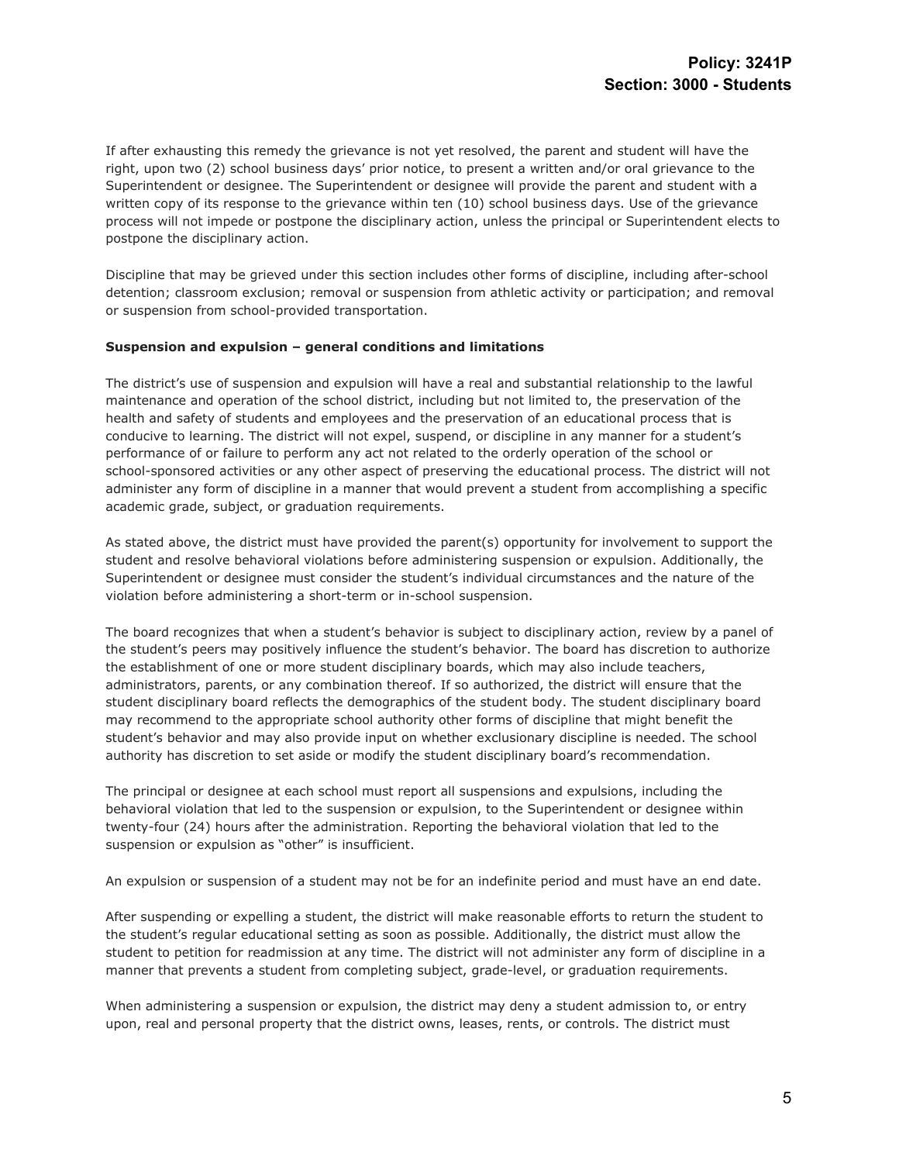If after exhausting this remedy the grievance is not yet resolved, the parent and student will have the right, upon two (2) school business days' prior notice, to present a written and/or oral grievance to the Superintendent or designee. The Superintendent or designee will provide the parent and student with a written copy of its response to the grievance within ten (10) school business days. Use of the grievance process will not impede or postpone the disciplinary action, unless the principal or Superintendent elects to postpone the disciplinary action.

Discipline that may be grieved under this section includes other forms of discipline, including after-school detention; classroom exclusion; removal or suspension from athletic activity or participation; and removal or suspension from school-provided transportation.

#### **Suspension and expulsion – general conditions and limitations**

The district's use of suspension and expulsion will have a real and substantial relationship to the lawful maintenance and operation of the school district, including but not limited to, the preservation of the health and safety of students and employees and the preservation of an educational process that is conducive to learning. The district will not expel, suspend, or discipline in any manner for a student's performance of or failure to perform any act not related to the orderly operation of the school or school-sponsored activities or any other aspect of preserving the educational process. The district will not administer any form of discipline in a manner that would prevent a student from accomplishing a specific academic grade, subject, or graduation requirements.

As stated above, the district must have provided the parent(s) opportunity for involvement to support the student and resolve behavioral violations before administering suspension or expulsion. Additionally, the Superintendent or designee must consider the student's individual circumstances and the nature of the violation before administering a short-term or in-school suspension.

The board recognizes that when a student's behavior is subject to disciplinary action, review by a panel of the student's peers may positively influence the student's behavior. The board has discretion to authorize the establishment of one or more student disciplinary boards, which may also include teachers, administrators, parents, or any combination thereof. If so authorized, the district will ensure that the student disciplinary board reflects the demographics of the student body. The student disciplinary board may recommend to the appropriate school authority other forms of discipline that might benefit the student's behavior and may also provide input on whether exclusionary discipline is needed. The school authority has discretion to set aside or modify the student disciplinary board's recommendation.

The principal or designee at each school must report all suspensions and expulsions, including the behavioral violation that led to the suspension or expulsion, to the Superintendent or designee within twenty-four (24) hours after the administration. Reporting the behavioral violation that led to the suspension or expulsion as "other" is insufficient.

An expulsion or suspension of a student may not be for an indefinite period and must have an end date.

After suspending or expelling a student, the district will make reasonable efforts to return the student to the student's regular educational setting as soon as possible. Additionally, the district must allow the student to petition for readmission at any time. The district will not administer any form of discipline in a manner that prevents a student from completing subject, grade-level, or graduation requirements.

When administering a suspension or expulsion, the district may deny a student admission to, or entry upon, real and personal property that the district owns, leases, rents, or controls. The district must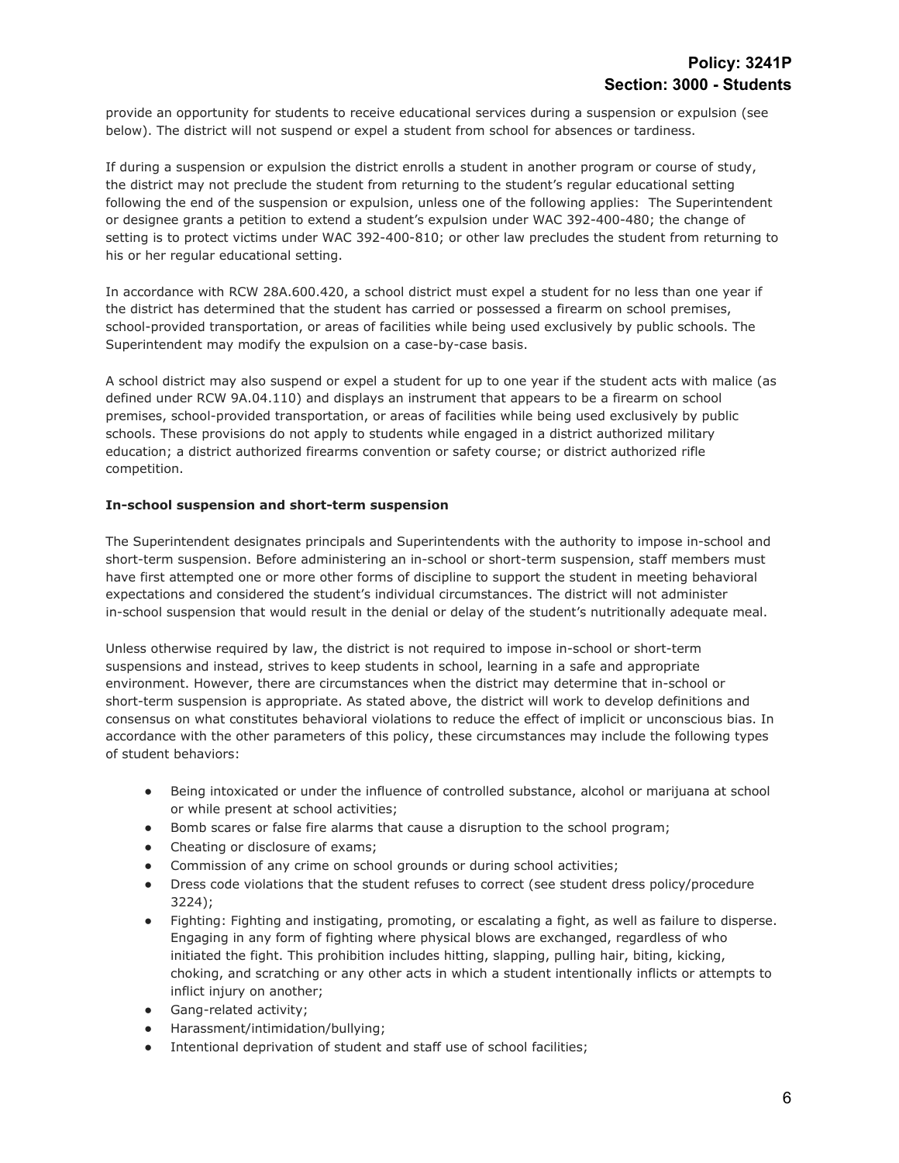provide an opportunity for students to receive educational services during a suspension or expulsion (see below). The district will not suspend or expel a student from school for absences or tardiness.

If during a suspension or expulsion the district enrolls a student in another program or course of study, the district may not preclude the student from returning to the student's regular educational setting following the end of the suspension or expulsion, unless one of the following applies: The Superintendent or designee grants a petition to extend a student's expulsion under WAC 392-400-480; the change of setting is to protect victims under WAC 392-400-810; or other law precludes the student from returning to his or her regular educational setting.

In accordance with RCW 28A.600.420, a school district must expel a student for no less than one year if the district has determined that the student has carried or possessed a firearm on school premises, school-provided transportation, or areas of facilities while being used exclusively by public schools. The Superintendent may modify the expulsion on a case-by-case basis.

A school district may also suspend or expel a student for up to one year if the student acts with malice (as defined under RCW 9A.04.110) and displays an instrument that appears to be a firearm on school premises, school-provided transportation, or areas of facilities while being used exclusively by public schools. These provisions do not apply to students while engaged in a district authorized military education; a district authorized firearms convention or safety course; or district authorized rifle competition.

## **In-school suspension and short-term suspension**

The Superintendent designates principals and Superintendents with the authority to impose in-school and short-term suspension. Before administering an in-school or short-term suspension, staff members must have first attempted one or more other forms of discipline to support the student in meeting behavioral expectations and considered the student's individual circumstances. The district will not administer in-school suspension that would result in the denial or delay of the student's nutritionally adequate meal.

Unless otherwise required by law, the district is not required to impose in-school or short-term suspensions and instead, strives to keep students in school, learning in a safe and appropriate environment. However, there are circumstances when the district may determine that in-school or short-term suspension is appropriate. As stated above, the district will work to develop definitions and consensus on what constitutes behavioral violations to reduce the effect of implicit or unconscious bias. In accordance with the other parameters of this policy, these circumstances may include the following types of student behaviors:

- Being intoxicated or under the influence of controlled substance, alcohol or marijuana at school or while present at school activities;
- Bomb scares or false fire alarms that cause a disruption to the school program;
- Cheating or disclosure of exams;
- Commission of any crime on school grounds or during school activities;
- Dress code violations that the student refuses to correct (see student dress policy/procedure 3224);
- Fighting: Fighting and instigating, promoting, or escalating a fight, as well as failure to disperse. Engaging in any form of fighting where physical blows are exchanged, regardless of who initiated the fight. This prohibition includes hitting, slapping, pulling hair, biting, kicking, choking, and scratching or any other acts in which a student intentionally inflicts or attempts to inflict injury on another;
- Gang-related activity;
- Harassment/intimidation/bullying;
- Intentional deprivation of student and staff use of school facilities;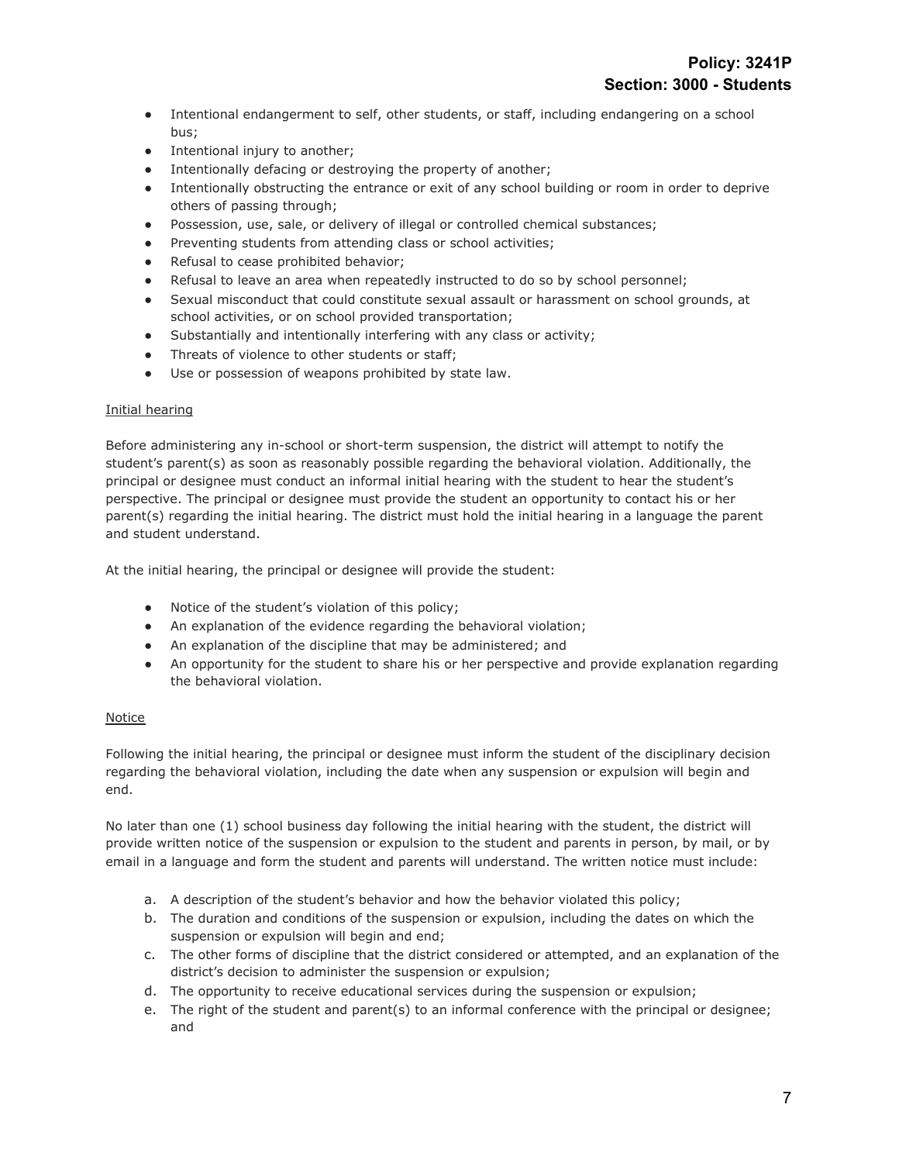- Intentional endangerment to self, other students, or staff, including endangering on a school bus;
- Intentional injury to another;
- Intentionally defacing or destroying the property of another;
- Intentionally obstructing the entrance or exit of any school building or room in order to deprive others of passing through;
- Possession, use, sale, or delivery of illegal or controlled chemical substances;
- Preventing students from attending class or school activities;
- Refusal to cease prohibited behavior;
- Refusal to leave an area when repeatedly instructed to do so by school personnel;
- Sexual misconduct that could constitute sexual assault or harassment on school grounds, at school activities, or on school provided transportation;
- Substantially and intentionally interfering with any class or activity;
- Threats of violence to other students or staff;
- Use or possession of weapons prohibited by state law.

# Initial hearing

Before administering any in-school or short-term suspension, the district will attempt to notify the student's parent(s) as soon as reasonably possible regarding the behavioral violation. Additionally, the principal or designee must conduct an informal initial hearing with the student to hear the student's perspective. The principal or designee must provide the student an opportunity to contact his or her parent(s) regarding the initial hearing. The district must hold the initial hearing in a language the parent and student understand.

At the initial hearing, the principal or designee will provide the student:

- Notice of the student's violation of this policy;
- An explanation of the evidence regarding the behavioral violation;
- An explanation of the discipline that may be administered; and
- An opportunity for the student to share his or her perspective and provide explanation regarding the behavioral violation.

# Notice

Following the initial hearing, the principal or designee must inform the student of the disciplinary decision regarding the behavioral violation, including the date when any suspension or expulsion will begin and end.

No later than one (1) school business day following the initial hearing with the student, the district will provide written notice of the suspension or expulsion to the student and parents in person, by mail, or by email in a language and form the student and parents will understand. The written notice must include:

- a. A description of the student's behavior and how the behavior violated this policy;
- b. The duration and conditions of the suspension or expulsion, including the dates on which the suspension or expulsion will begin and end;
- c. The other forms of discipline that the district considered or attempted, and an explanation of the district's decision to administer the suspension or expulsion;
- d. The opportunity to receive educational services during the suspension or expulsion;
- e. The right of the student and parent(s) to an informal conference with the principal or designee; and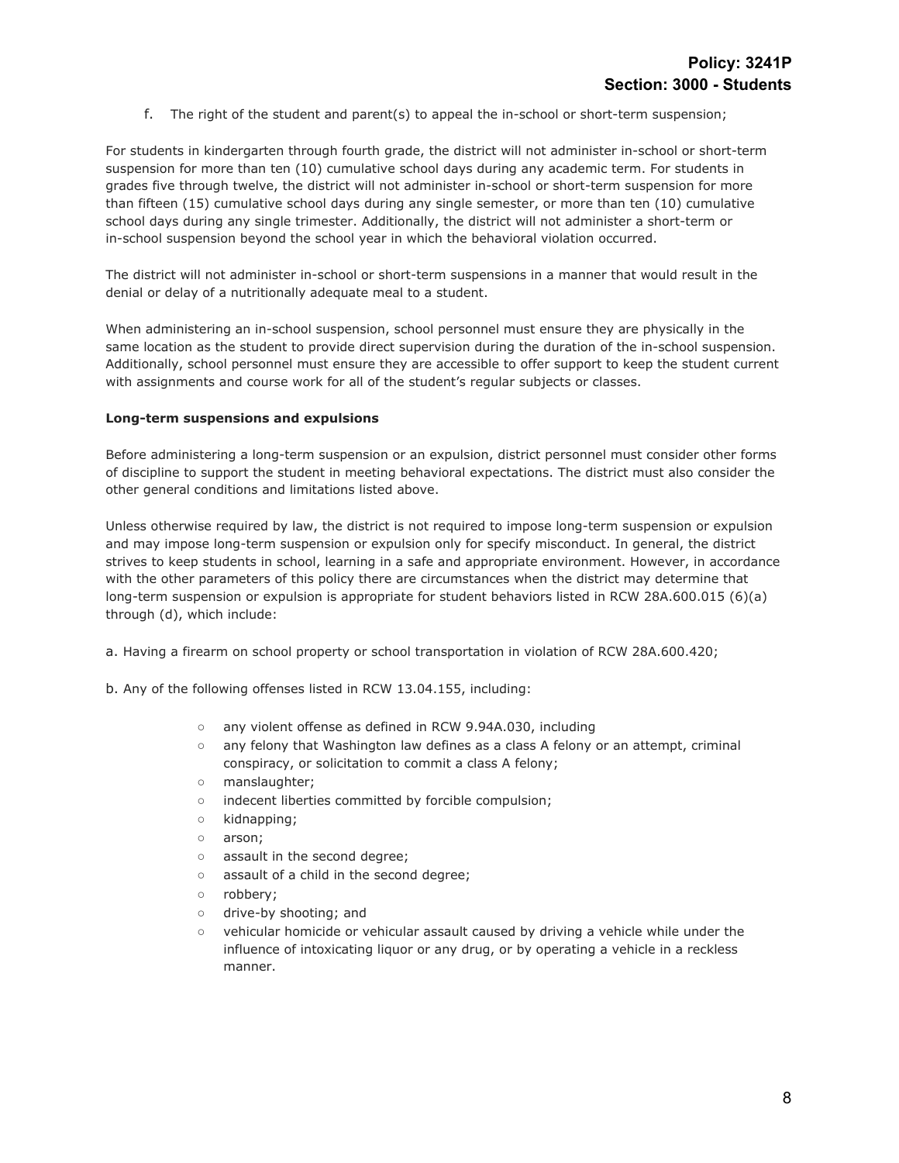f. The right of the student and parent(s) to appeal the in-school or short-term suspension;

For students in kindergarten through fourth grade, the district will not administer in-school or short-term suspension for more than ten (10) cumulative school days during any academic term. For students in grades five through twelve, the district will not administer in-school or short-term suspension for more than fifteen (15) cumulative school days during any single semester, or more than ten (10) cumulative school days during any single trimester. Additionally, the district will not administer a short-term or in-school suspension beyond the school year in which the behavioral violation occurred.

The district will not administer in-school or short-term suspensions in a manner that would result in the denial or delay of a nutritionally adequate meal to a student.

When administering an in-school suspension, school personnel must ensure they are physically in the same location as the student to provide direct supervision during the duration of the in-school suspension. Additionally, school personnel must ensure they are accessible to offer support to keep the student current with assignments and course work for all of the student's regular subjects or classes.

#### **Long-term suspensions and expulsions**

Before administering a long-term suspension or an expulsion, district personnel must consider other forms of discipline to support the student in meeting behavioral expectations. The district must also consider the other general conditions and limitations listed above.

Unless otherwise required by law, the district is not required to impose long-term suspension or expulsion and may impose long-term suspension or expulsion only for specify misconduct. In general, the district strives to keep students in school, learning in a safe and appropriate environment. However, in accordance with the other parameters of this policy there are circumstances when the district may determine that long-term suspension or expulsion is appropriate for student behaviors listed in RCW 28A.600.015 (6)(a) through (d), which include:

- a. Having a firearm on school property or school transportation in violation of RCW 28A.600.420;
- b. Any of the following offenses listed in RCW 13.04.155, including:
	- any violent offense as defined in RCW 9.94A.030, including
	- any felony that Washington law defines as a class A felony or an attempt, criminal conspiracy, or solicitation to commit a class A felony;
	- manslaughter;
	- indecent liberties committed by forcible compulsion;
	- kidnapping;
	- arson;
	- assault in the second degree;
	- assault of a child in the second degree;
	- robbery;
	- drive-by shooting; and
	- vehicular homicide or vehicular assault caused by driving a vehicle while under the influence of intoxicating liquor or any drug, or by operating a vehicle in a reckless manner.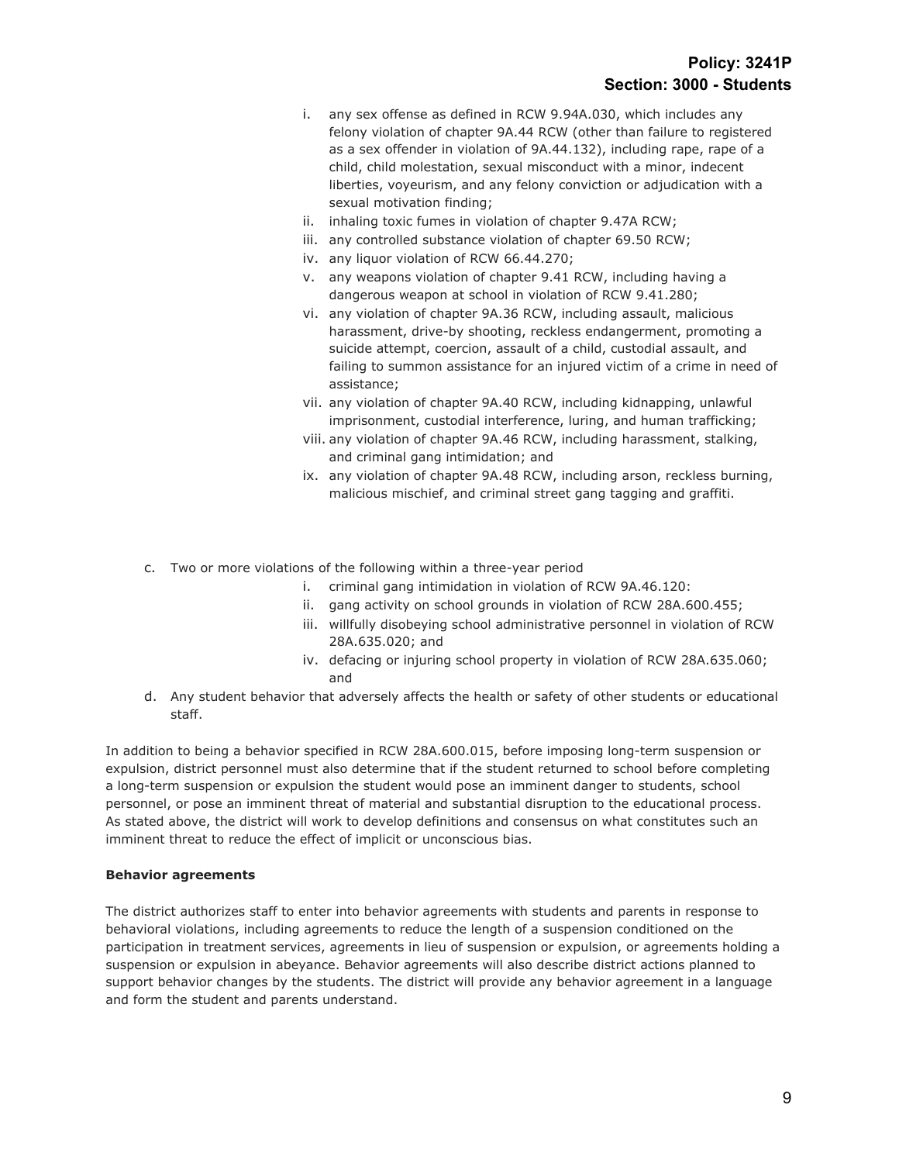- i. any sex offense as defined in RCW 9.94A.030, which includes any felony violation of chapter 9A.44 RCW (other than failure to registered as a sex offender in violation of 9A.44.132), including rape, rape of a child, child molestation, sexual misconduct with a minor, indecent liberties, voyeurism, and any felony conviction or adjudication with a sexual motivation finding;
- ii. inhaling toxic fumes in violation of chapter 9.47A RCW;
- iii. any controlled substance violation of chapter 69.50 RCW;
- iv. any liquor violation of RCW 66.44.270;
- v. any weapons violation of chapter 9.41 RCW, including having a dangerous weapon at school in violation of RCW 9.41.280;
- vi. any violation of chapter 9A.36 RCW, including assault, malicious harassment, drive-by shooting, reckless endangerment, promoting a suicide attempt, coercion, assault of a child, custodial assault, and failing to summon assistance for an injured victim of a crime in need of assistance;
- vii. any violation of chapter 9A.40 RCW, including kidnapping, unlawful imprisonment, custodial interference, luring, and human trafficking;
- viii. any violation of chapter 9A.46 RCW, including harassment, stalking, and criminal gang intimidation; and
- ix. any violation of chapter 9A.48 RCW, including arson, reckless burning, malicious mischief, and criminal street gang tagging and graffiti.
- c. Two or more violations of the following within a three-year period
	- i. criminal gang intimidation in violation of RCW 9A.46.120:
	- ii. gang activity on school grounds in violation of RCW 28A.600.455;
	- iii. willfully disobeying school administrative personnel in violation of RCW 28A.635.020; and
	- iv. defacing or injuring school property in violation of RCW 28A.635.060; and
- d. Any student behavior that adversely affects the health or safety of other students or educational staff.

In addition to being a behavior specified in RCW 28A.600.015, before imposing long-term suspension or expulsion, district personnel must also determine that if the student returned to school before completing a long-term suspension or expulsion the student would pose an imminent danger to students, school personnel, or pose an imminent threat of material and substantial disruption to the educational process. As stated above, the district will work to develop definitions and consensus on what constitutes such an imminent threat to reduce the effect of implicit or unconscious bias.

#### **Behavior agreements**

The district authorizes staff to enter into behavior agreements with students and parents in response to behavioral violations, including agreements to reduce the length of a suspension conditioned on the participation in treatment services, agreements in lieu of suspension or expulsion, or agreements holding a suspension or expulsion in abeyance. Behavior agreements will also describe district actions planned to support behavior changes by the students. The district will provide any behavior agreement in a language and form the student and parents understand.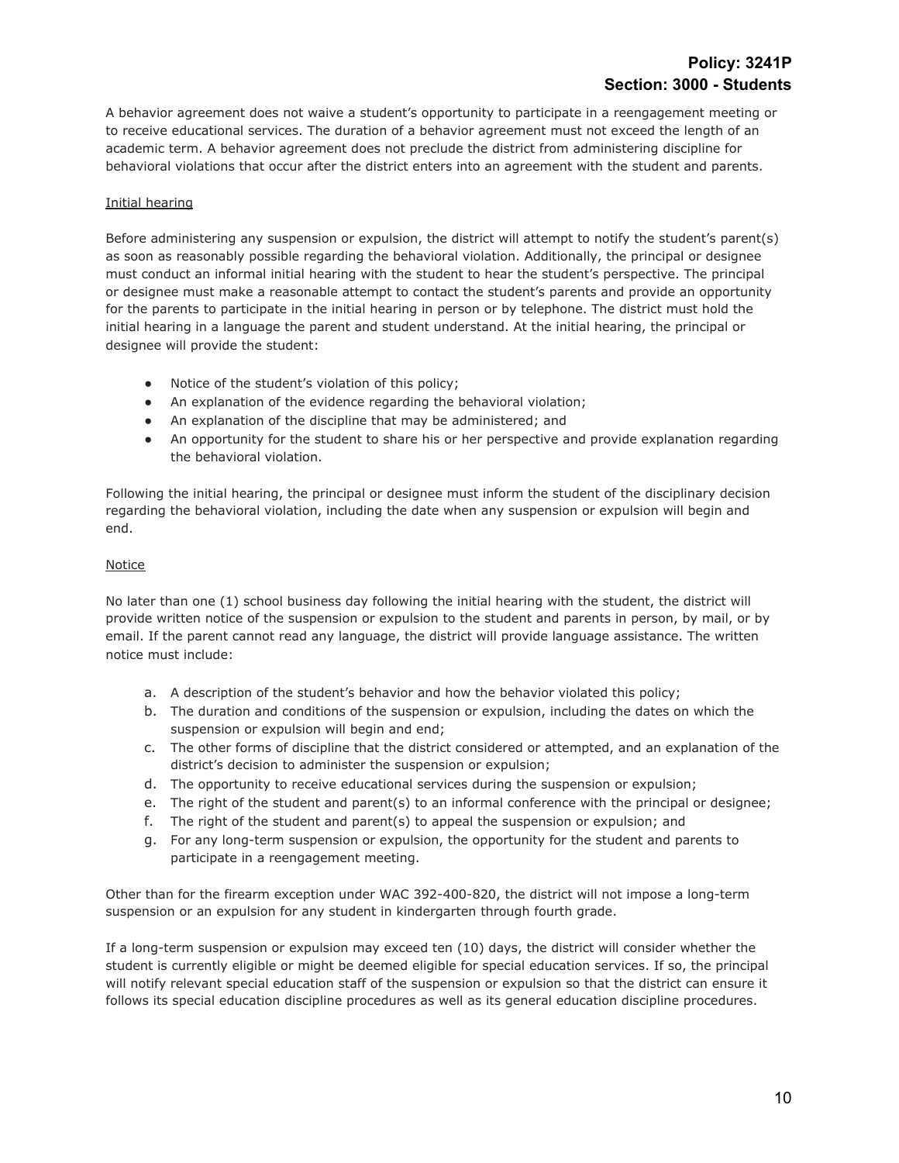A behavior agreement does not waive a student's opportunity to participate in a reengagement meeting or to receive educational services. The duration of a behavior agreement must not exceed the length of an academic term. A behavior agreement does not preclude the district from administering discipline for behavioral violations that occur after the district enters into an agreement with the student and parents.

## Initial hearing

Before administering any suspension or expulsion, the district will attempt to notify the student's parent(s) as soon as reasonably possible regarding the behavioral violation. Additionally, the principal or designee must conduct an informal initial hearing with the student to hear the student's perspective. The principal or designee must make a reasonable attempt to contact the student's parents and provide an opportunity for the parents to participate in the initial hearing in person or by telephone. The district must hold the initial hearing in a language the parent and student understand. At the initial hearing, the principal or designee will provide the student:

- Notice of the student's violation of this policy;
- An explanation of the evidence regarding the behavioral violation;
- An explanation of the discipline that may be administered; and
- An opportunity for the student to share his or her perspective and provide explanation regarding the behavioral violation.

Following the initial hearing, the principal or designee must inform the student of the disciplinary decision regarding the behavioral violation, including the date when any suspension or expulsion will begin and end.

## **Notice**

No later than one (1) school business day following the initial hearing with the student, the district will provide written notice of the suspension or expulsion to the student and parents in person, by mail, or by email. If the parent cannot read any language, the district will provide language assistance. The written notice must include:

- a. A description of the student's behavior and how the behavior violated this policy;
- b. The duration and conditions of the suspension or expulsion, including the dates on which the suspension or expulsion will begin and end;
- c. The other forms of discipline that the district considered or attempted, and an explanation of the district's decision to administer the suspension or expulsion;
- d. The opportunity to receive educational services during the suspension or expulsion;
- e. The right of the student and parent(s) to an informal conference with the principal or designee;
- f. The right of the student and parent(s) to appeal the suspension or expulsion; and
- g. For any long-term suspension or expulsion, the opportunity for the student and parents to participate in a reengagement meeting.

Other than for the firearm exception under WAC 392-400-820, the district will not impose a long-term suspension or an expulsion for any student in kindergarten through fourth grade.

If a long-term suspension or expulsion may exceed ten (10) days, the district will consider whether the student is currently eligible or might be deemed eligible for special education services. If so, the principal will notify relevant special education staff of the suspension or expulsion so that the district can ensure it follows its special education discipline procedures as well as its general education discipline procedures.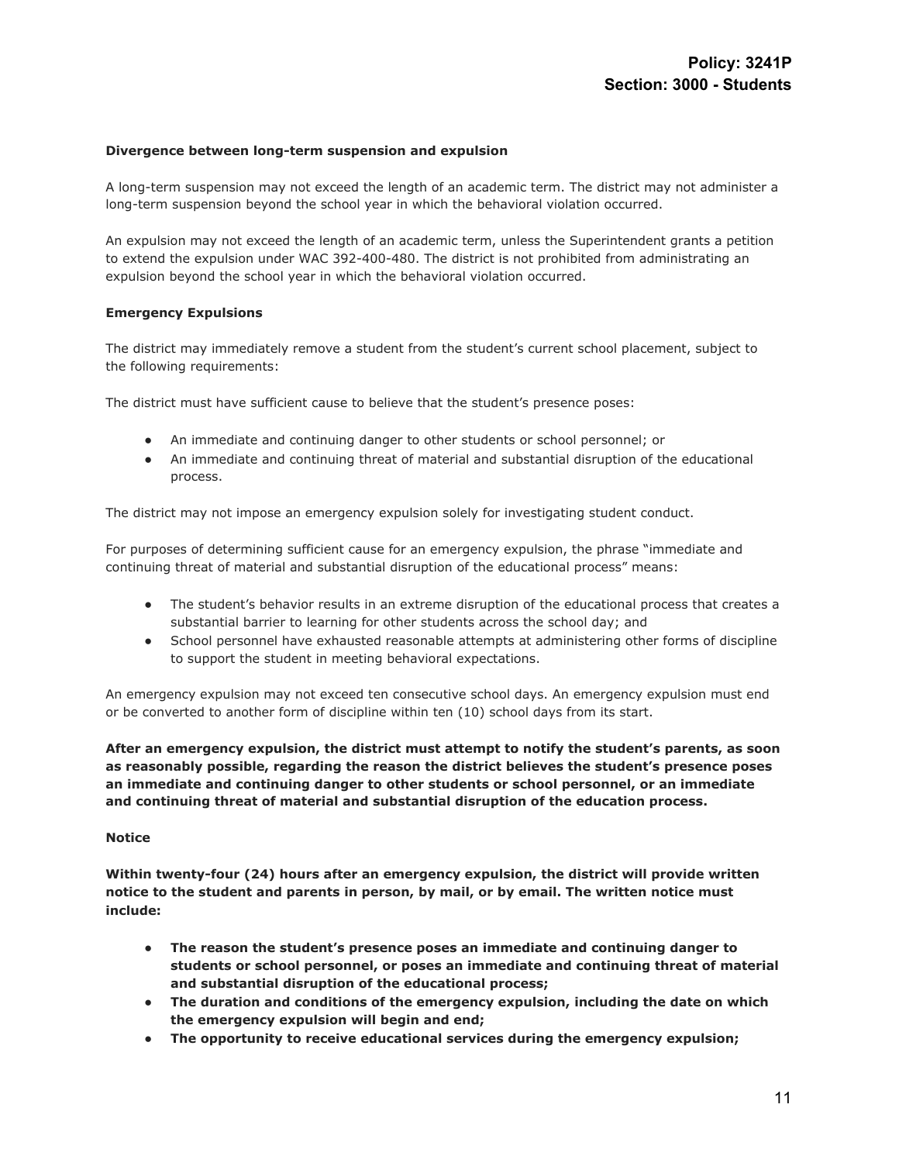#### **Divergence between long-term suspension and expulsion**

A long-term suspension may not exceed the length of an academic term. The district may not administer a long-term suspension beyond the school year in which the behavioral violation occurred.

An expulsion may not exceed the length of an academic term, unless the Superintendent grants a petition to extend the expulsion under WAC 392-400-480. The district is not prohibited from administrating an expulsion beyond the school year in which the behavioral violation occurred.

#### **Emergency Expulsions**

The district may immediately remove a student from the student's current school placement, subject to the following requirements:

The district must have sufficient cause to believe that the student's presence poses:

- An immediate and continuing danger to other students or school personnel; or
- An immediate and continuing threat of material and substantial disruption of the educational process.

The district may not impose an emergency expulsion solely for investigating student conduct.

For purposes of determining sufficient cause for an emergency expulsion, the phrase "immediate and continuing threat of material and substantial disruption of the educational process" means:

- The student's behavior results in an extreme disruption of the educational process that creates a substantial barrier to learning for other students across the school day; and
- School personnel have exhausted reasonable attempts at administering other forms of discipline to support the student in meeting behavioral expectations.

An emergency expulsion may not exceed ten consecutive school days. An emergency expulsion must end or be converted to another form of discipline within ten (10) school days from its start.

**After an emergency expulsion, the district must attempt to notify the student's parents, as soon as reasonably possible, regarding the reason the district believes the student's presence poses an immediate and continuing danger to other students or school personnel, or an immediate and continuing threat of material and substantial disruption of the education process.**

#### **Notice**

**Within twenty-four (24) hours after an emergency expulsion, the district will provide written notice to the student and parents in person, by mail, or by email. The written notice must include:**

- **● The reason the student's presence poses an immediate and continuing danger to students or school personnel, or poses an immediate and continuing threat of material and substantial disruption of the educational process;**
- **● The duration and conditions of the emergency expulsion, including the date on which the emergency expulsion will begin and end;**
- **● The opportunity to receive educational services during the emergency expulsion;**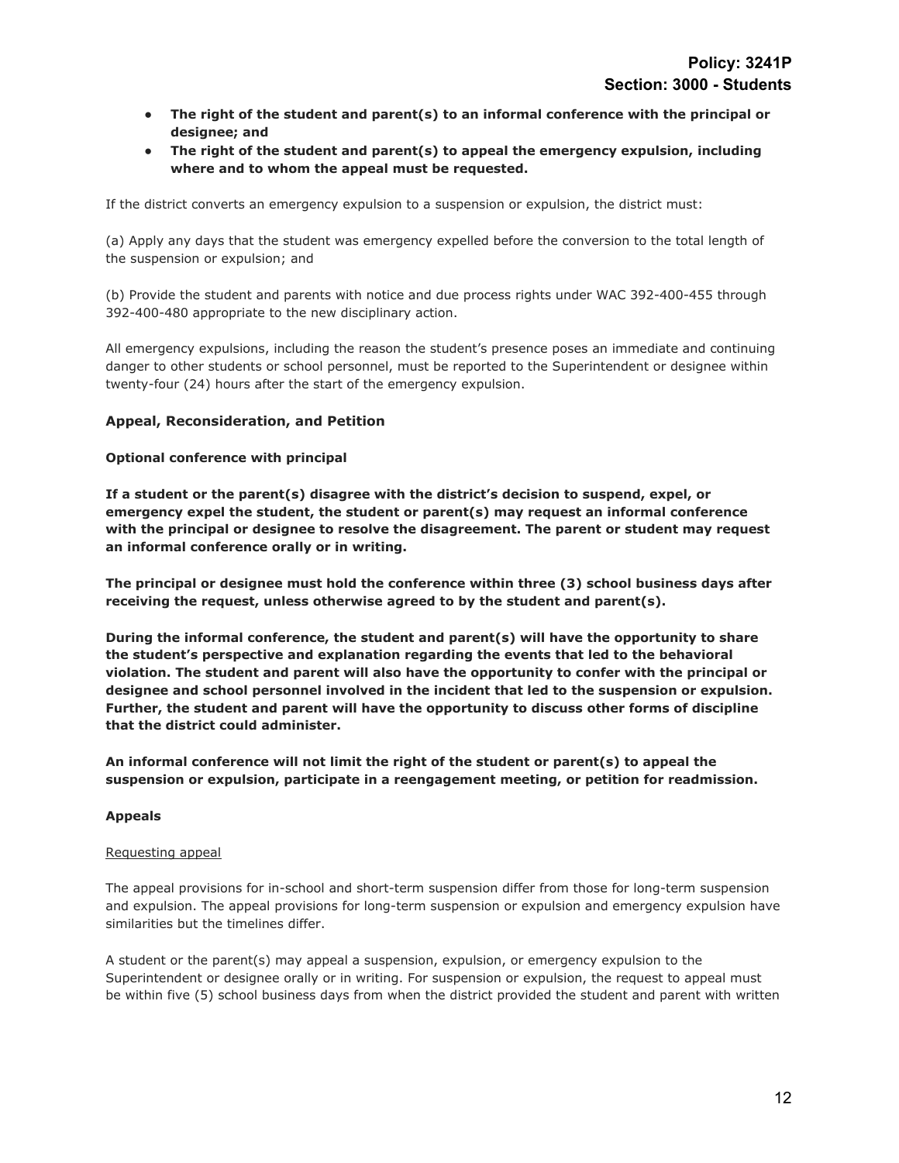- **● The right of the student and parent(s) to an informal conference with the principal or designee; and**
- **● The right of the student and parent(s) to appeal the emergency expulsion, including where and to whom the appeal must be requested.**

If the district converts an emergency expulsion to a suspension or expulsion, the district must:

(a) Apply any days that the student was emergency expelled before the conversion to the total length of the suspension or expulsion; and

(b) Provide the student and parents with notice and due process rights under WAC 392-400-455 through 392-400-480 appropriate to the new disciplinary action.

All emergency expulsions, including the reason the student's presence poses an immediate and continuing danger to other students or school personnel, must be reported to the Superintendent or designee within twenty-four (24) hours after the start of the emergency expulsion.

## **Appeal, Reconsideration, and Petition**

#### **Optional conference with principal**

**If a student or the parent(s) disagree with the district's decision to suspend, expel, or emergency expel the student, the student or parent(s) may request an informal conference with the principal or designee to resolve the disagreement. The parent or student may request an informal conference orally or in writing.**

**The principal or designee must hold the conference within three (3) school business days after receiving the request, unless otherwise agreed to by the student and parent(s).**

**During the informal conference, the student and parent(s) will have the opportunity to share the student's perspective and explanation regarding the events that led to the behavioral violation. The student and parent will also have the opportunity to confer with the principal or designee and school personnel involved in the incident that led to the suspension or expulsion. Further, the student and parent will have the opportunity to discuss other forms of discipline that the district could administer.**

**An informal conference will not limit the right of the student or parent(s) to appeal the suspension or expulsion, participate in a reengagement meeting, or petition for readmission.**

#### **Appeals**

#### Requesting appeal

The appeal provisions for in-school and short-term suspension differ from those for long-term suspension and expulsion. The appeal provisions for long-term suspension or expulsion and emergency expulsion have similarities but the timelines differ.

A student or the parent(s) may appeal a suspension, expulsion, or emergency expulsion to the Superintendent or designee orally or in writing. For suspension or expulsion, the request to appeal must be within five (5) school business days from when the district provided the student and parent with written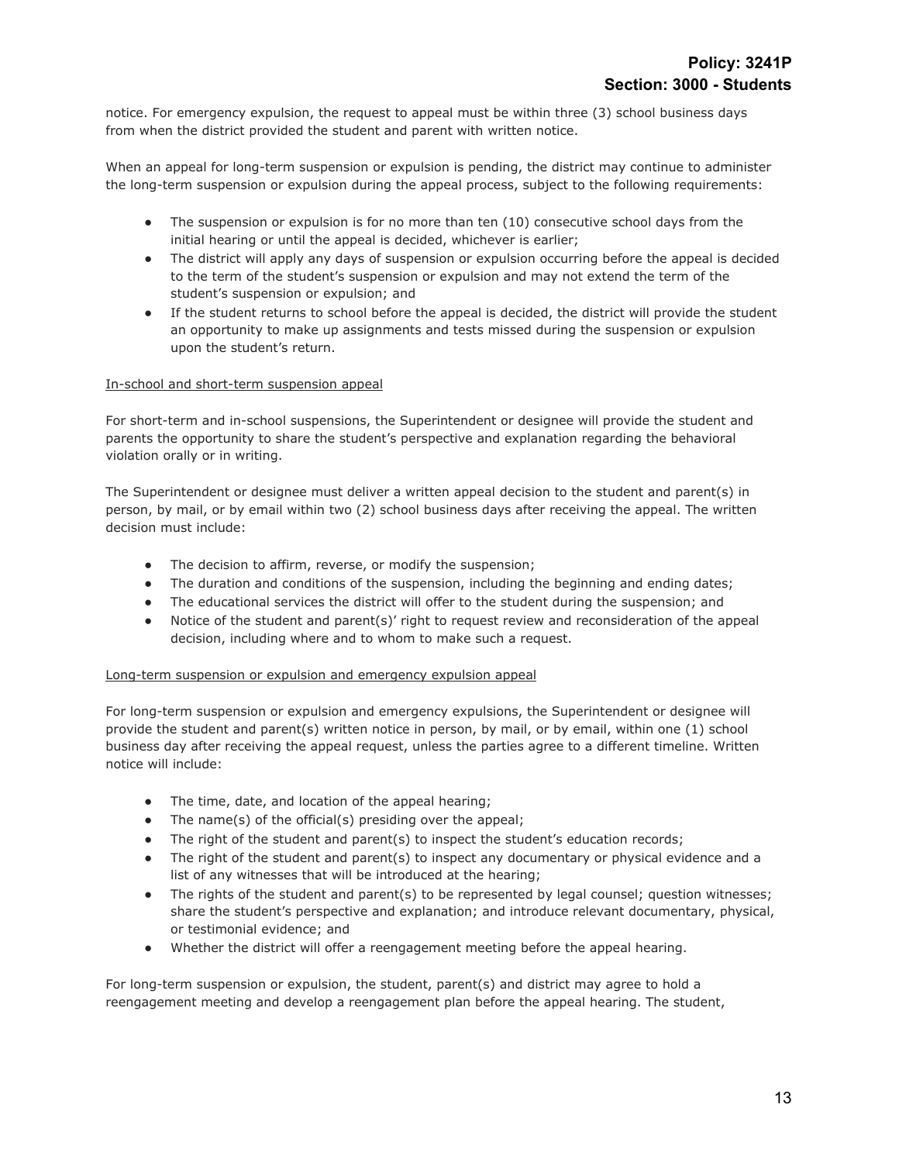notice. For emergency expulsion, the request to appeal must be within three (3) school business days from when the district provided the student and parent with written notice.

When an appeal for long-term suspension or expulsion is pending, the district may continue to administer the long-term suspension or expulsion during the appeal process, subject to the following requirements:

- The suspension or expulsion is for no more than ten (10) consecutive school days from the initial hearing or until the appeal is decided, whichever is earlier;
- The district will apply any days of suspension or expulsion occurring before the appeal is decided to the term of the student's suspension or expulsion and may not extend the term of the student's suspension or expulsion; and
- If the student returns to school before the appeal is decided, the district will provide the student an opportunity to make up assignments and tests missed during the suspension or expulsion upon the student's return.

#### In-school and short-term suspension appeal

For short-term and in-school suspensions, the Superintendent or designee will provide the student and parents the opportunity to share the student's perspective and explanation regarding the behavioral violation orally or in writing.

The Superintendent or designee must deliver a written appeal decision to the student and parent(s) in person, by mail, or by email within two (2) school business days after receiving the appeal. The written decision must include:

- The decision to affirm, reverse, or modify the suspension;
- The duration and conditions of the suspension, including the beginning and ending dates;
- The educational services the district will offer to the student during the suspension; and
- Notice of the student and parent(s)' right to request review and reconsideration of the appeal decision, including where and to whom to make such a request.

#### Long-term suspension or expulsion and emergency expulsion appeal

For long-term suspension or expulsion and emergency expulsions, the Superintendent or designee will provide the student and parent(s) written notice in person, by mail, or by email, within one (1) school business day after receiving the appeal request, unless the parties agree to a different timeline. Written notice will include:

- The time, date, and location of the appeal hearing;
- The name(s) of the official(s) presiding over the appeal;
- The right of the student and parent(s) to inspect the student's education records;
- The right of the student and parent(s) to inspect any documentary or physical evidence and a list of any witnesses that will be introduced at the hearing;
- The rights of the student and parent(s) to be represented by legal counsel; question witnesses; share the student's perspective and explanation; and introduce relevant documentary, physical, or testimonial evidence; and
- Whether the district will offer a reengagement meeting before the appeal hearing.

For long-term suspension or expulsion, the student, parent(s) and district may agree to hold a reengagement meeting and develop a reengagement plan before the appeal hearing. The student,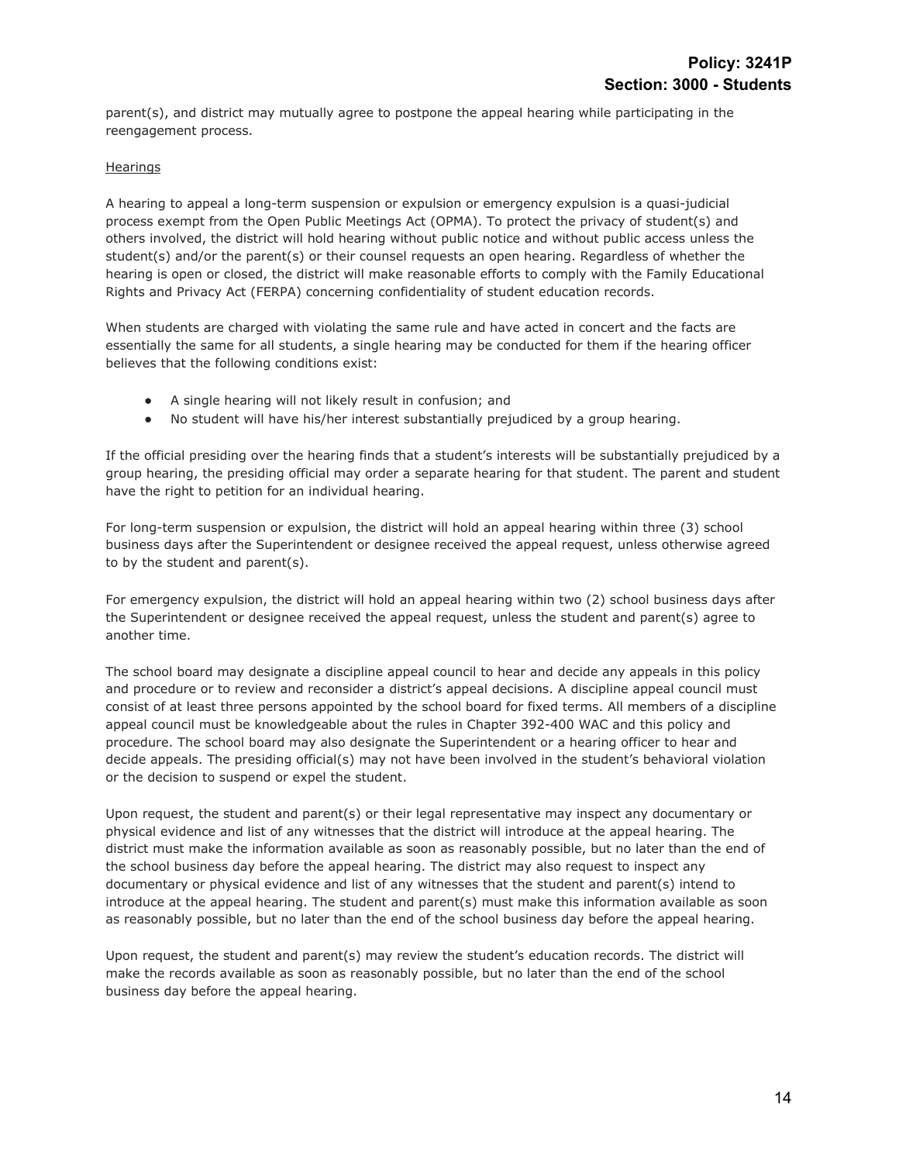parent(s), and district may mutually agree to postpone the appeal hearing while participating in the reengagement process.

#### **Hearings**

A hearing to appeal a long-term suspension or expulsion or emergency expulsion is a quasi-judicial process exempt from the Open Public Meetings Act (OPMA). To protect the privacy of student(s) and others involved, the district will hold hearing without public notice and without public access unless the student(s) and/or the parent(s) or their counsel requests an open hearing. Regardless of whether the hearing is open or closed, the district will make reasonable efforts to comply with the Family Educational Rights and Privacy Act (FERPA) concerning confidentiality of student education records.

When students are charged with violating the same rule and have acted in concert and the facts are essentially the same for all students, a single hearing may be conducted for them if the hearing officer believes that the following conditions exist:

- A single hearing will not likely result in confusion; and
- No student will have his/her interest substantially prejudiced by a group hearing.

If the official presiding over the hearing finds that a student's interests will be substantially prejudiced by a group hearing, the presiding official may order a separate hearing for that student. The parent and student have the right to petition for an individual hearing.

For long-term suspension or expulsion, the district will hold an appeal hearing within three (3) school business days after the Superintendent or designee received the appeal request, unless otherwise agreed to by the student and parent(s).

For emergency expulsion, the district will hold an appeal hearing within two (2) school business days after the Superintendent or designee received the appeal request, unless the student and parent(s) agree to another time.

The school board may designate a discipline appeal council to hear and decide any appeals in this policy and procedure or to review and reconsider a district's appeal decisions. A discipline appeal council must consist of at least three persons appointed by the school board for fixed terms. All members of a discipline appeal council must be knowledgeable about the rules in Chapter 392-400 WAC and this policy and procedure. The school board may also designate the Superintendent or a hearing officer to hear and decide appeals. The presiding official(s) may not have been involved in the student's behavioral violation or the decision to suspend or expel the student.

Upon request, the student and parent(s) or their legal representative may inspect any documentary or physical evidence and list of any witnesses that the district will introduce at the appeal hearing. The district must make the information available as soon as reasonably possible, but no later than the end of the school business day before the appeal hearing. The district may also request to inspect any documentary or physical evidence and list of any witnesses that the student and parent(s) intend to introduce at the appeal hearing. The student and parent(s) must make this information available as soon as reasonably possible, but no later than the end of the school business day before the appeal hearing.

Upon request, the student and parent(s) may review the student's education records. The district will make the records available as soon as reasonably possible, but no later than the end of the school business day before the appeal hearing.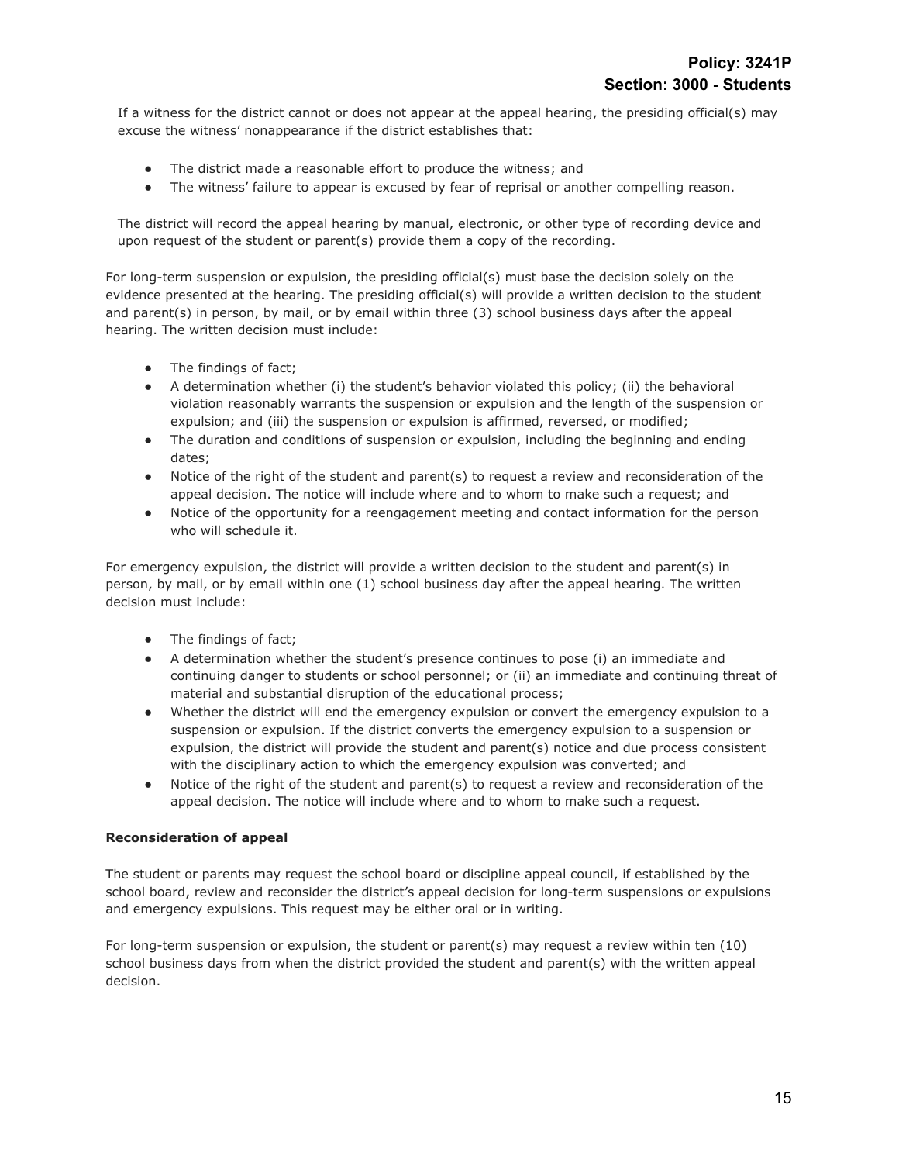If a witness for the district cannot or does not appear at the appeal hearing, the presiding official(s) may excuse the witness' nonappearance if the district establishes that:

- The district made a reasonable effort to produce the witness; and
- The witness' failure to appear is excused by fear of reprisal or another compelling reason.

The district will record the appeal hearing by manual, electronic, or other type of recording device and upon request of the student or parent(s) provide them a copy of the recording.

For long-term suspension or expulsion, the presiding official(s) must base the decision solely on the evidence presented at the hearing. The presiding official(s) will provide a written decision to the student and parent(s) in person, by mail, or by email within three (3) school business days after the appeal hearing. The written decision must include:

- The findings of fact;
- A determination whether (i) the student's behavior violated this policy; (ii) the behavioral violation reasonably warrants the suspension or expulsion and the length of the suspension or expulsion; and (iii) the suspension or expulsion is affirmed, reversed, or modified;
- The duration and conditions of suspension or expulsion, including the beginning and ending dates;
- Notice of the right of the student and parent(s) to request a review and reconsideration of the appeal decision. The notice will include where and to whom to make such a request; and
- Notice of the opportunity for a reengagement meeting and contact information for the person who will schedule it.

For emergency expulsion, the district will provide a written decision to the student and parent(s) in person, by mail, or by email within one (1) school business day after the appeal hearing. The written decision must include:

- The findings of fact;
- A determination whether the student's presence continues to pose (i) an immediate and continuing danger to students or school personnel; or (ii) an immediate and continuing threat of material and substantial disruption of the educational process;
- Whether the district will end the emergency expulsion or convert the emergency expulsion to a suspension or expulsion. If the district converts the emergency expulsion to a suspension or expulsion, the district will provide the student and parent(s) notice and due process consistent with the disciplinary action to which the emergency expulsion was converted; and
- Notice of the right of the student and parent(s) to request a review and reconsideration of the appeal decision. The notice will include where and to whom to make such a request.

## **Reconsideration of appeal**

The student or parents may request the school board or discipline appeal council, if established by the school board, review and reconsider the district's appeal decision for long-term suspensions or expulsions and emergency expulsions. This request may be either oral or in writing.

For long-term suspension or expulsion, the student or parent(s) may request a review within ten (10) school business days from when the district provided the student and parent(s) with the written appeal decision.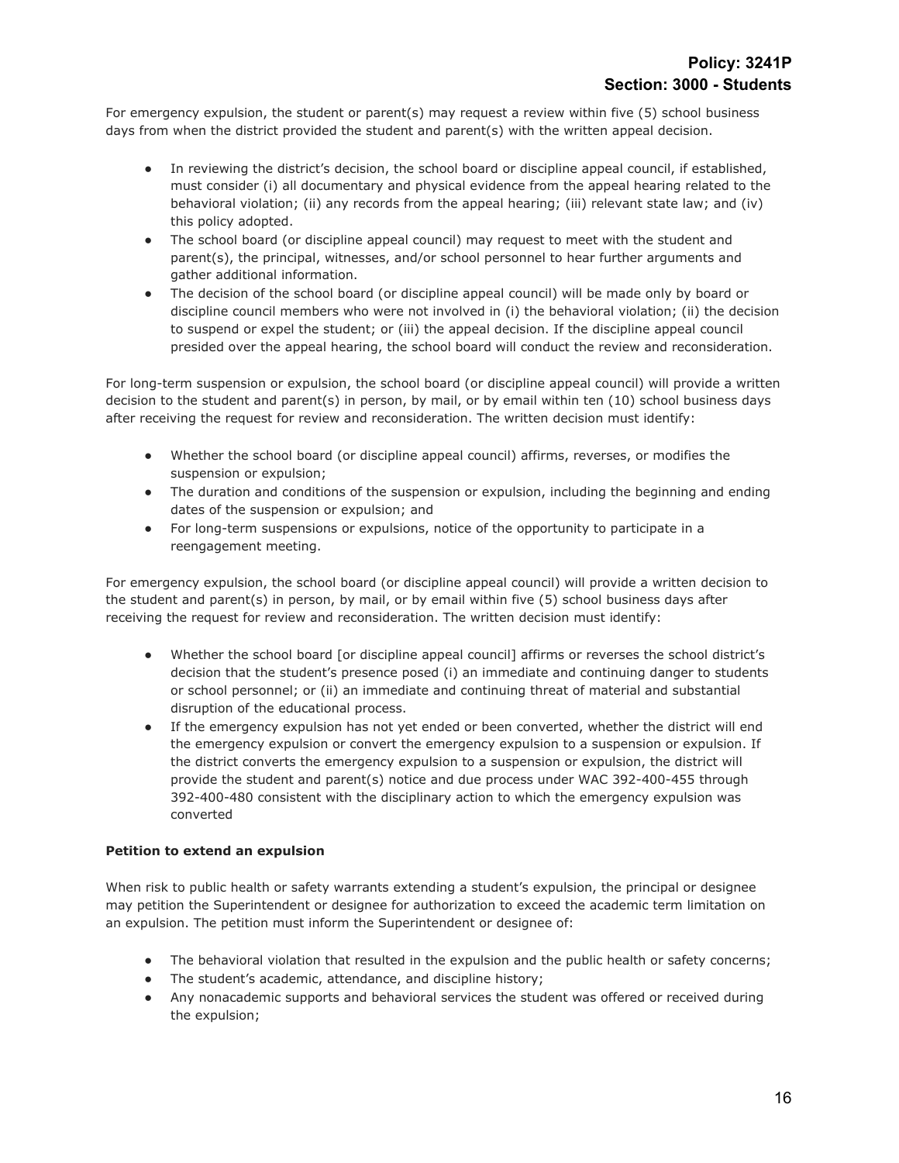For emergency expulsion, the student or parent(s) may request a review within five (5) school business days from when the district provided the student and parent(s) with the written appeal decision.

- In reviewing the district's decision, the school board or discipline appeal council, if established, must consider (i) all documentary and physical evidence from the appeal hearing related to the behavioral violation; (ii) any records from the appeal hearing; (iii) relevant state law; and (iv) this policy adopted.
- The school board (or discipline appeal council) may request to meet with the student and parent(s), the principal, witnesses, and/or school personnel to hear further arguments and gather additional information.
- The decision of the school board (or discipline appeal council) will be made only by board or discipline council members who were not involved in (i) the behavioral violation; (ii) the decision to suspend or expel the student; or (iii) the appeal decision. If the discipline appeal council presided over the appeal hearing, the school board will conduct the review and reconsideration.

For long-term suspension or expulsion, the school board (or discipline appeal council) will provide a written decision to the student and parent(s) in person, by mail, or by email within ten (10) school business days after receiving the request for review and reconsideration. The written decision must identify:

- Whether the school board (or discipline appeal council) affirms, reverses, or modifies the suspension or expulsion;
- The duration and conditions of the suspension or expulsion, including the beginning and ending dates of the suspension or expulsion; and
- For long-term suspensions or expulsions, notice of the opportunity to participate in a reengagement meeting.

For emergency expulsion, the school board (or discipline appeal council) will provide a written decision to the student and parent(s) in person, by mail, or by email within five (5) school business days after receiving the request for review and reconsideration. The written decision must identify:

- Whether the school board [or discipline appeal council] affirms or reverses the school district's decision that the student's presence posed (i) an immediate and continuing danger to students or school personnel; or (ii) an immediate and continuing threat of material and substantial disruption of the educational process.
- If the emergency expulsion has not yet ended or been converted, whether the district will end the emergency expulsion or convert the emergency expulsion to a suspension or expulsion. If the district converts the emergency expulsion to a suspension or expulsion, the district will provide the student and parent(s) notice and due process under WAC 392-400-455 through 392-400-480 consistent with the disciplinary action to which the emergency expulsion was converted

## **Petition to extend an expulsion**

When risk to public health or safety warrants extending a student's expulsion, the principal or designee may petition the Superintendent or designee for authorization to exceed the academic term limitation on an expulsion. The petition must inform the Superintendent or designee of:

- The behavioral violation that resulted in the expulsion and the public health or safety concerns;
- The student's academic, attendance, and discipline history;
- Any nonacademic supports and behavioral services the student was offered or received during the expulsion;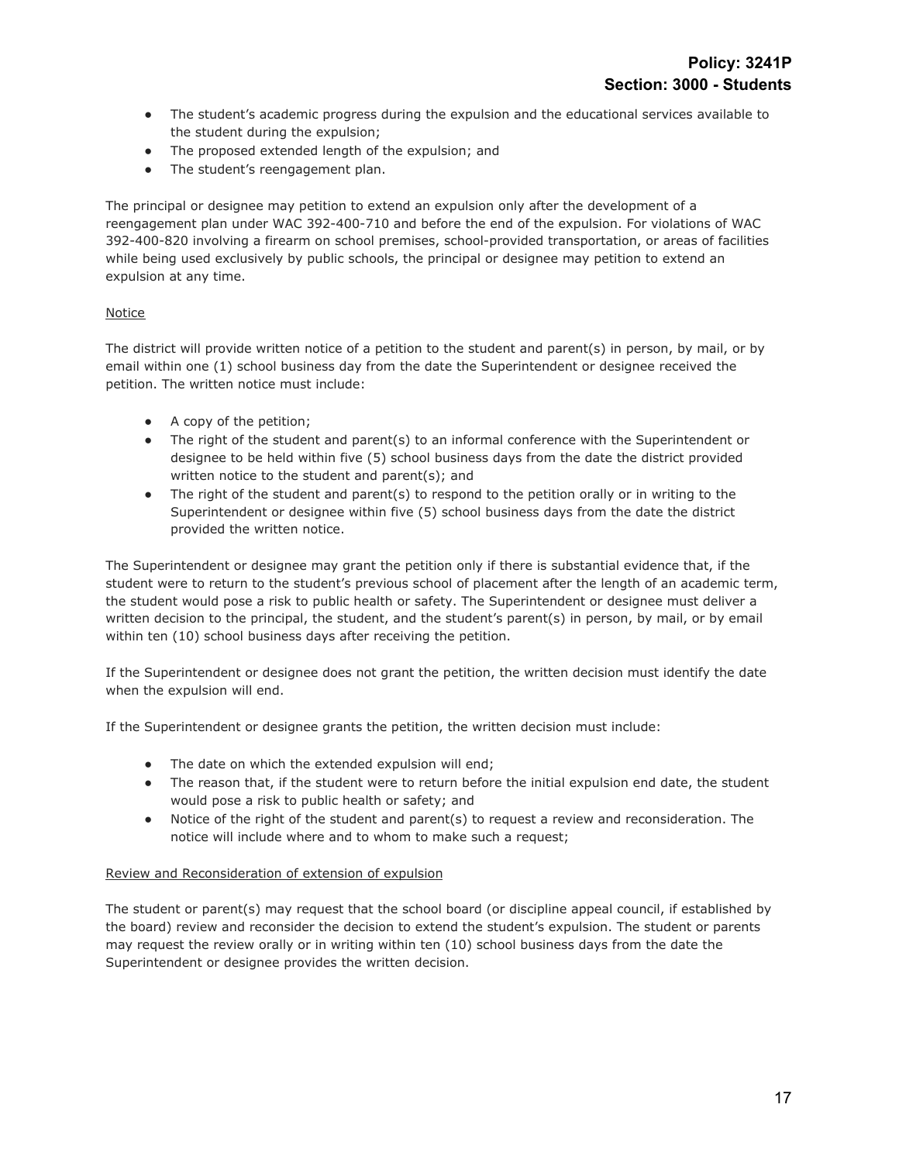- The student's academic progress during the expulsion and the educational services available to the student during the expulsion;
- The proposed extended length of the expulsion; and
- The student's reengagement plan.

The principal or designee may petition to extend an expulsion only after the development of a reengagement plan under WAC 392-400-710 and before the end of the expulsion. For violations of WAC 392-400-820 involving a firearm on school premises, school-provided transportation, or areas of facilities while being used exclusively by public schools, the principal or designee may petition to extend an expulsion at any time.

# Notice

The district will provide written notice of a petition to the student and parent(s) in person, by mail, or by email within one (1) school business day from the date the Superintendent or designee received the petition. The written notice must include:

- A copy of the petition;
- The right of the student and parent(s) to an informal conference with the Superintendent or designee to be held within five (5) school business days from the date the district provided written notice to the student and parent(s); and
- The right of the student and parent(s) to respond to the petition orally or in writing to the Superintendent or designee within five (5) school business days from the date the district provided the written notice.

The Superintendent or designee may grant the petition only if there is substantial evidence that, if the student were to return to the student's previous school of placement after the length of an academic term, the student would pose a risk to public health or safety. The Superintendent or designee must deliver a written decision to the principal, the student, and the student's parent(s) in person, by mail, or by email within ten (10) school business days after receiving the petition.

If the Superintendent or designee does not grant the petition, the written decision must identify the date when the expulsion will end.

If the Superintendent or designee grants the petition, the written decision must include:

- The date on which the extended expulsion will end;
- The reason that, if the student were to return before the initial expulsion end date, the student would pose a risk to public health or safety; and
- Notice of the right of the student and parent(s) to request a review and reconsideration. The notice will include where and to whom to make such a request;

## Review and Reconsideration of extension of expulsion

The student or parent(s) may request that the school board (or discipline appeal council, if established by the board) review and reconsider the decision to extend the student's expulsion. The student or parents may request the review orally or in writing within ten (10) school business days from the date the Superintendent or designee provides the written decision.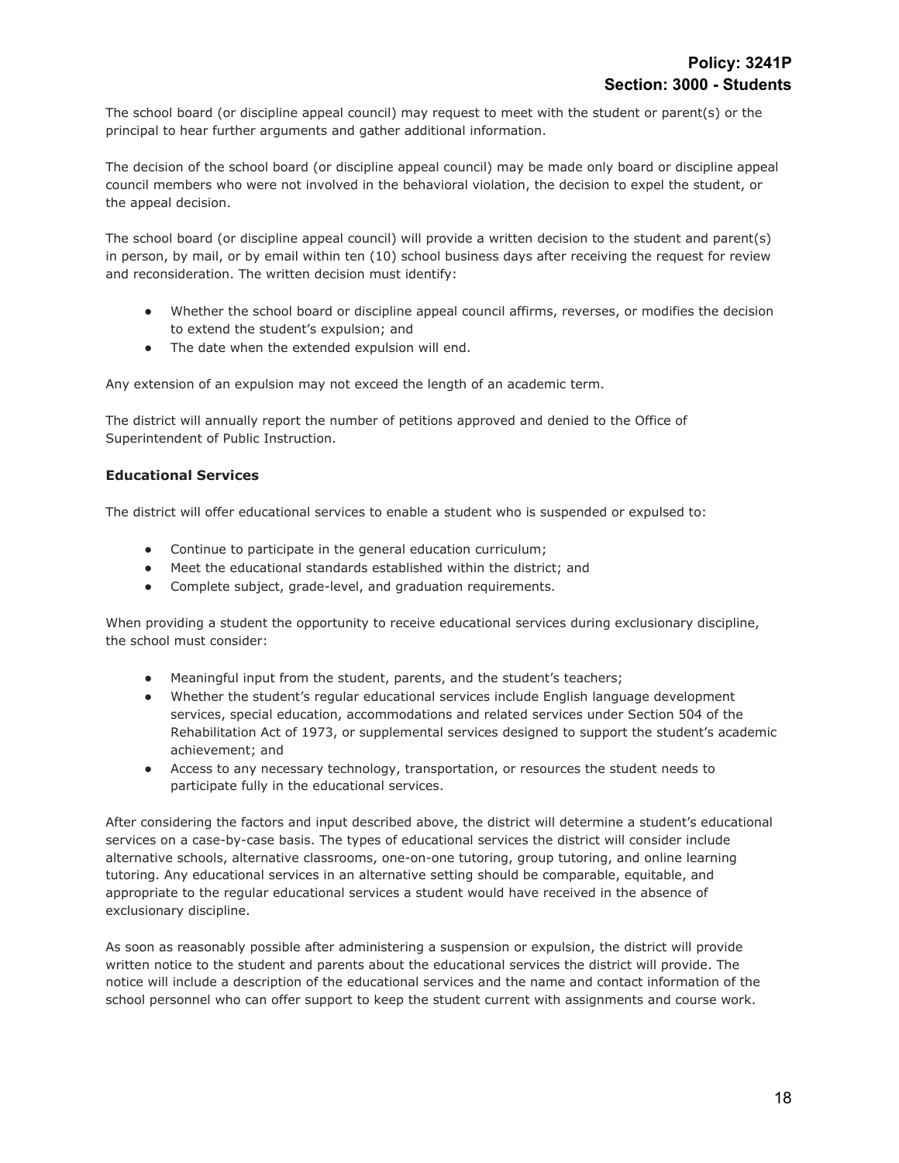The school board (or discipline appeal council) may request to meet with the student or parent(s) or the principal to hear further arguments and gather additional information.

The decision of the school board (or discipline appeal council) may be made only board or discipline appeal council members who were not involved in the behavioral violation, the decision to expel the student, or the appeal decision.

The school board (or discipline appeal council) will provide a written decision to the student and parent(s) in person, by mail, or by email within ten (10) school business days after receiving the request for review and reconsideration. The written decision must identify:

- Whether the school board or discipline appeal council affirms, reverses, or modifies the decision to extend the student's expulsion; and
- The date when the extended expulsion will end.

Any extension of an expulsion may not exceed the length of an academic term.

The district will annually report the number of petitions approved and denied to the Office of Superintendent of Public Instruction.

## **Educational Services**

The district will offer educational services to enable a student who is suspended or expulsed to:

- Continue to participate in the general education curriculum;
- Meet the educational standards established within the district; and
- Complete subject, grade-level, and graduation requirements.

When providing a student the opportunity to receive educational services during exclusionary discipline, the school must consider:

- Meaningful input from the student, parents, and the student's teachers;
- Whether the student's regular educational services include English language development services, special education, accommodations and related services under Section 504 of the Rehabilitation Act of 1973, or supplemental services designed to support the student's academic achievement; and
- Access to any necessary technology, transportation, or resources the student needs to participate fully in the educational services.

After considering the factors and input described above, the district will determine a student's educational services on a case-by-case basis. The types of educational services the district will consider include alternative schools, alternative classrooms, one-on-one tutoring, group tutoring, and online learning tutoring. Any educational services in an alternative setting should be comparable, equitable, and appropriate to the regular educational services a student would have received in the absence of exclusionary discipline.

As soon as reasonably possible after administering a suspension or expulsion, the district will provide written notice to the student and parents about the educational services the district will provide. The notice will include a description of the educational services and the name and contact information of the school personnel who can offer support to keep the student current with assignments and course work.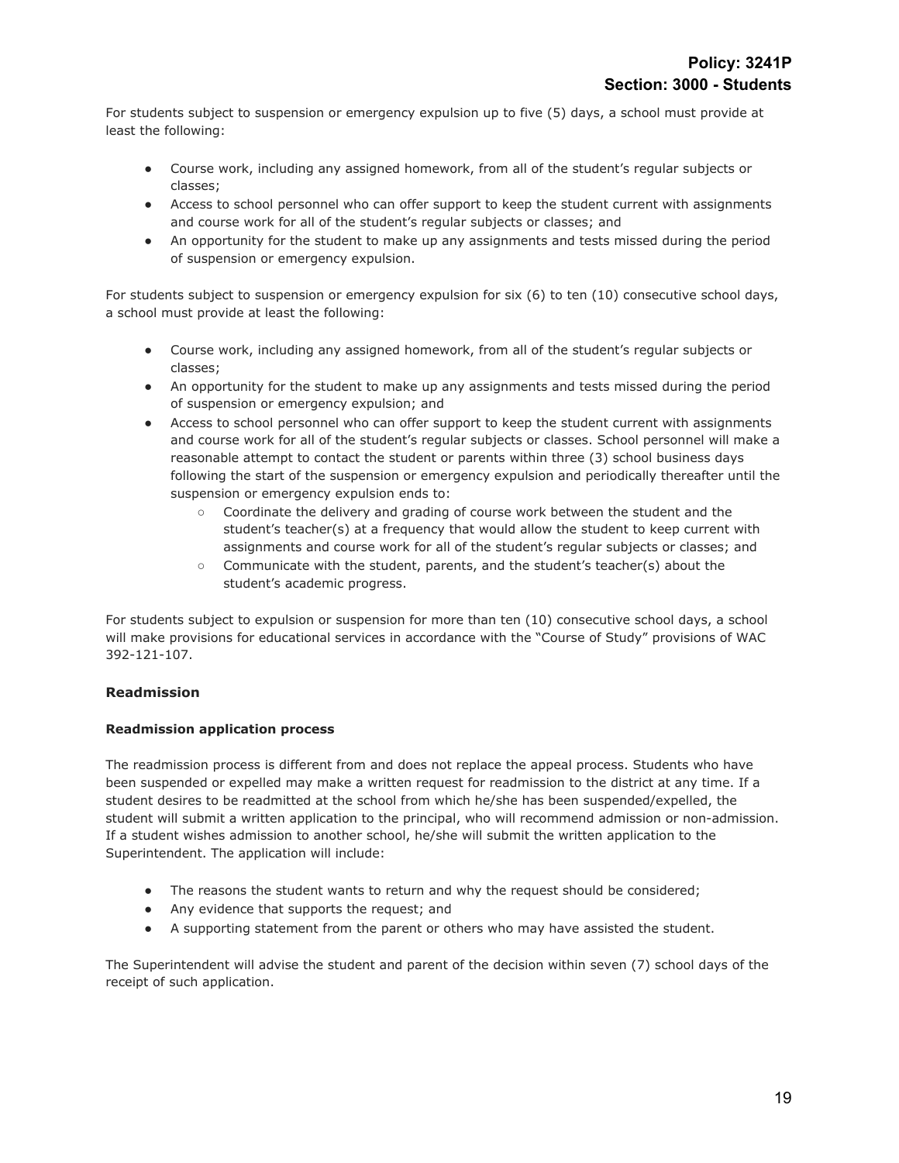For students subject to suspension or emergency expulsion up to five (5) days, a school must provide at least the following:

- Course work, including any assigned homework, from all of the student's regular subjects or classes;
- Access to school personnel who can offer support to keep the student current with assignments and course work for all of the student's regular subjects or classes; and
- An opportunity for the student to make up any assignments and tests missed during the period of suspension or emergency expulsion.

For students subject to suspension or emergency expulsion for six (6) to ten (10) consecutive school days, a school must provide at least the following:

- Course work, including any assigned homework, from all of the student's regular subjects or classes;
- An opportunity for the student to make up any assignments and tests missed during the period of suspension or emergency expulsion; and
- Access to school personnel who can offer support to keep the student current with assignments and course work for all of the student's regular subjects or classes. School personnel will make a reasonable attempt to contact the student or parents within three (3) school business days following the start of the suspension or emergency expulsion and periodically thereafter until the suspension or emergency expulsion ends to:
	- Coordinate the delivery and grading of course work between the student and the student's teacher(s) at a frequency that would allow the student to keep current with assignments and course work for all of the student's regular subjects or classes; and
	- Communicate with the student, parents, and the student's teacher(s) about the student's academic progress.

For students subject to expulsion or suspension for more than ten (10) consecutive school days, a school will make provisions for educational services in accordance with the "Course of Study" provisions of WAC 392-121-107.

## **Readmission**

## **Readmission application process**

The readmission process is different from and does not replace the appeal process. Students who have been suspended or expelled may make a written request for readmission to the district at any time. If a student desires to be readmitted at the school from which he/she has been suspended/expelled, the student will submit a written application to the principal, who will recommend admission or non-admission. If a student wishes admission to another school, he/she will submit the written application to the Superintendent. The application will include:

- The reasons the student wants to return and why the request should be considered;
- Any evidence that supports the request; and
- A supporting statement from the parent or others who may have assisted the student.

The Superintendent will advise the student and parent of the decision within seven (7) school days of the receipt of such application.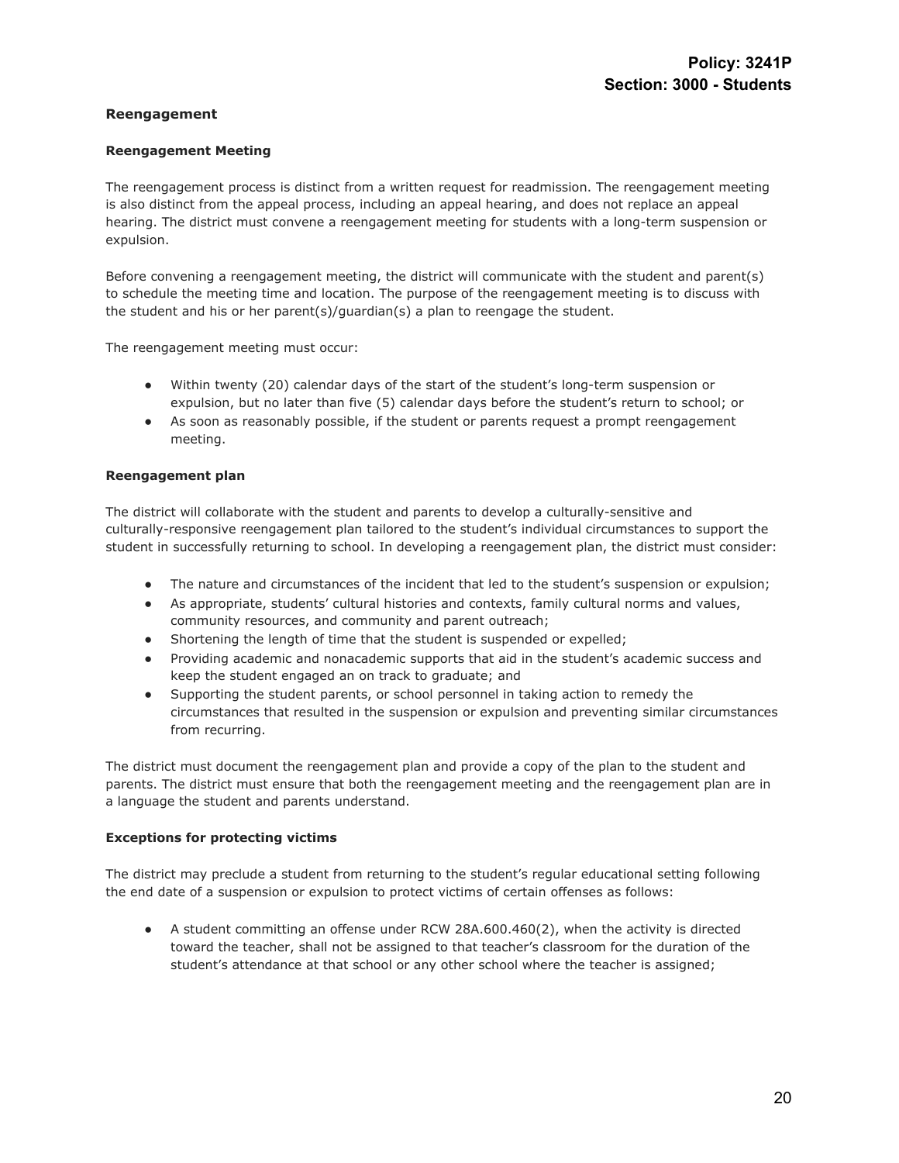## **Reengagement**

## **Reengagement Meeting**

The reengagement process is distinct from a written request for readmission. The reengagement meeting is also distinct from the appeal process, including an appeal hearing, and does not replace an appeal hearing. The district must convene a reengagement meeting for students with a long-term suspension or expulsion.

Before convening a reengagement meeting, the district will communicate with the student and parent(s) to schedule the meeting time and location. The purpose of the reengagement meeting is to discuss with the student and his or her parent(s)/guardian(s) a plan to reengage the student.

The reengagement meeting must occur:

- Within twenty (20) calendar days of the start of the student's long-term suspension or expulsion, but no later than five (5) calendar days before the student's return to school; or
- As soon as reasonably possible, if the student or parents request a prompt reengagement meeting.

#### **Reengagement plan**

The district will collaborate with the student and parents to develop a culturally-sensitive and culturally-responsive reengagement plan tailored to the student's individual circumstances to support the student in successfully returning to school. In developing a reengagement plan, the district must consider:

- The nature and circumstances of the incident that led to the student's suspension or expulsion;
- As appropriate, students' cultural histories and contexts, family cultural norms and values, community resources, and community and parent outreach;
- Shortening the length of time that the student is suspended or expelled;
- Providing academic and nonacademic supports that aid in the student's academic success and keep the student engaged an on track to graduate; and
- Supporting the student parents, or school personnel in taking action to remedy the circumstances that resulted in the suspension or expulsion and preventing similar circumstances from recurring.

The district must document the reengagement plan and provide a copy of the plan to the student and parents. The district must ensure that both the reengagement meeting and the reengagement plan are in a language the student and parents understand.

#### **Exceptions for protecting victims**

The district may preclude a student from returning to the student's regular educational setting following the end date of a suspension or expulsion to protect victims of certain offenses as follows:

● A student committing an offense under RCW 28A.600.460(2), when the activity is directed toward the teacher, shall not be assigned to that teacher's classroom for the duration of the student's attendance at that school or any other school where the teacher is assigned;